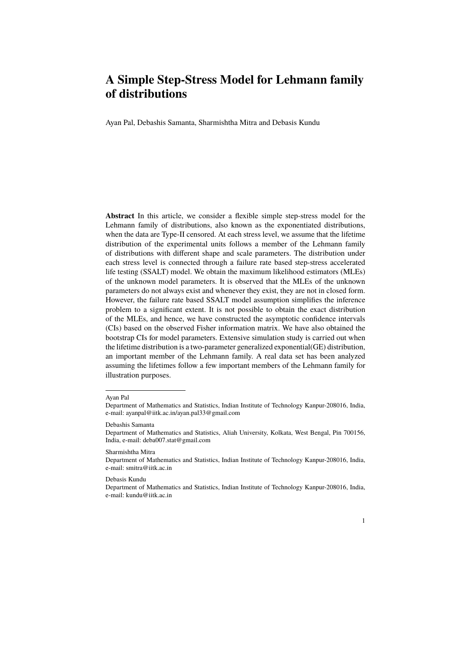Ayan Pal, Debashis Samanta, Sharmishtha Mitra and Debasis Kundu

**Abstract** In this article, we consider a flexible simple step-stress model for the Lehmann family of distributions, also known as the exponentiated distributions, when the data are Type-II censored. At each stress level, we assume that the lifetime distribution of the experimental units follows a member of the Lehmann family of distributions with different shape and scale parameters. The distribution under each stress level is connected through a failure rate based step-stress accelerated life testing (SSALT) model. We obtain the maximum likelihood estimators (MLEs) of the unknown model parameters. It is observed that the MLEs of the unknown parameters do not always exist and whenever they exist, they are not in closed form. However, the failure rate based SSALT model assumption simplifies the inference problem to a significant extent. It is not possible to obtain the exact distribution of the MLEs, and hence, we have constructed the asymptotic confidence intervals (CIs) based on the observed Fisher information matrix. We have also obtained the bootstrap CIs for model parameters. Extensive simulation study is carried out when the lifetime distribution is a two-parameter generalized exponential(GE) distribution, an important member of the Lehmann family. A real data set has been analyzed assuming the lifetimes follow a few important members of the Lehmann family for illustration purposes.

#### Ayan Pal

#### Sharmishtha Mitra

Department of Mathematics and Statistics, Indian Institute of Technology Kanpur-208016, India, e-mail: smitra@iitk.ac.in

#### Debasis Kundu

Department of Mathematics and Statistics, Indian Institute of Technology Kanpur-208016, India, e-mail: kundu@iitk.ac.in

1

Department of Mathematics and Statistics, Indian Institute of Technology Kanpur-208016, India, e-mail: ayanpal@iitk.ac.in/ayan.pal33@gmail.com

Debashis Samanta

Department of Mathematics and Statistics, Aliah University, Kolkata, West Bengal, Pin 700156, India, e-mail: deba007.stat@gmail.com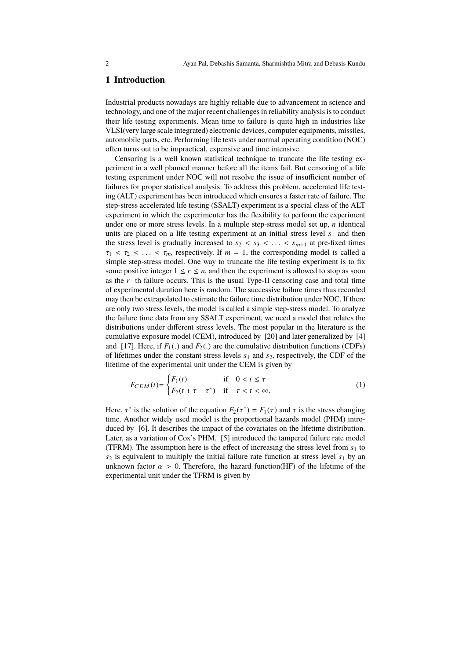# **1 Introduction**

Industrial products nowadays are highly reliable due to advancement in science and technology, and one of the major recent challenges in reliability analysis is to conduct their life testing experiments. Mean time to failure is quite high in industries like VLSI(very large scale integrated) electronic devices, computer equipments, missiles, automobile parts, etc. Performing life tests under normal operating condition (NOC) often turns out to be impractical, expensive and time intensive.

Censoring is a well known statistical technique to truncate the life testing experiment in a well planned manner before all the items fail. But censoring of a life testing experiment under NOC will not resolve the issue of insufficient number of failures for proper statistical analysis. To address this problem, accelerated life testing (ALT) experiment has been introduced which ensures a faster rate of failure. The step-stress accelerated life testing (SSALT) experiment is a special class of the ALT experiment in which the experimenter has the flexibility to perform the experiment under one or more stress levels. In a multiple step-stress model set up, *n* identical units are placed on a life testing experiment at an initial stress level  $s_1$  and then the stress level is gradually increased to  $s_2 < s_3 < \ldots < s_{m+1}$  at pre-fixed times  $\tau_1 < \tau_2 < \ldots < \tau_m$ , respectively. If  $m = 1$ , the corresponding model is called a simple step-stress model. One way to truncate the life testing experiment is to fix some positive integer  $1 \le r \le n$ , and then the experiment is allowed to stop as soon as the *r*−th failure occurs. This is the usual Type-II censoring case and total time of experimental duration here is random. The successive failure times thus recorded may then be extrapolated to estimate the failure time distribution under NOC. If there are only two stress levels, the model is called a simple step-stress model. To analyze the failure time data from any SSALT experiment, we need a model that relates the distributions under different stress levels. The most popular in the literature is the cumulative exposure model (CEM), introduced by [20] and later generalized by [4] and [17]. Here, if  $F_1(.)$  and  $F_2(.)$  are the cumulative distribution functions (CDFs) of lifetimes under the constant stress levels  $s_1$  and  $s_2$ , respectively, the CDF of the lifetime of the experimental unit under the CEM is given by

$$
F_{CEM}(t) = \begin{cases} F_1(t) & \text{if } 0 < t \le \tau \\ F_2(t + \tau - \tau^*) & \text{if } \tau < t < \infty. \end{cases} \tag{1}
$$

Here,  $\tau^*$  is the solution of the equation  $F_2(\tau^*) = F_1(\tau)$  and  $\tau$  is the stress changing time. Another widely used model is the proportional hazards model (PHM) introduced by [6]. It describes the impact of the covariates on the lifetime distribution. Later, as a variation of Cox's PHM, [5] introduced the tampered failure rate model (TFRM). The assumption here is the effect of increasing the stress level from  $s_1$  to  $s_2$  is equivalent to multiply the initial failure rate function at stress level  $s_1$  by an unknown factor  $\alpha > 0$ . Therefore, the hazard function(HF) of the lifetime of the experimental unit under the TFRM is given by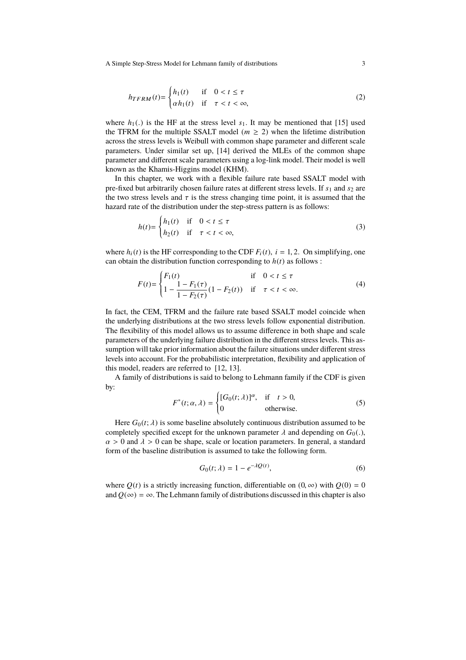$$
h_{TFRM}(t) = \begin{cases} h_1(t) & \text{if } 0 < t \le \tau \\ \alpha h_1(t) & \text{if } \tau < t < \infty, \end{cases} \tag{2}
$$

where  $h_1(.)$  is the HF at the stress level  $s_1$ . It may be mentioned that [15] used the TFRM for the multiple SSALT model ( $m \geq 2$ ) when the lifetime distribution across the stress levels is Weibull with common shape parameter and different scale parameters. Under similar set up, [14] derived the MLEs of the common shape parameter and different scale parameters using a log-link model. Their model is well known as the Khamis-Higgins model (KHM).

In this chapter, we work with a flexible failure rate based SSALT model with pre-fixed but arbitrarily chosen failure rates at different stress levels. If  $s_1$  and  $s_2$  are the two stress levels and  $\tau$  is the stress changing time point, it is assumed that the hazard rate of the distribution under the step-stress pattern is as follows:

$$
h(t) = \begin{cases} h_1(t) & \text{if } 0 < t \le \tau \\ h_2(t) & \text{if } \tau < t < \infty, \end{cases} \tag{3}
$$

where  $h_i(t)$  is the HF corresponding to the CDF  $F_i(t)$ ,  $i = 1, 2$ . On simplifying, one can obtain the distribution function corresponding to  $h(t)$  as follows :

$$
F(t) = \begin{cases} F_1(t) & \text{if } 0 < t \le \tau \\ 1 - \frac{1 - F_1(\tau)}{1 - F_2(\tau)} (1 - F_2(t)) & \text{if } \tau < t < \infty. \end{cases} \tag{4}
$$

In fact, the CEM, TFRM and the failure rate based SSALT model coincide when the underlying distributions at the two stress levels follow exponential distribution. The flexibility of this model allows us to assume difference in both shape and scale parameters of the underlying failure distribution in the different stress levels. This assumption will take prior information about the failure situations under different stress levels into account. For the probabilistic interpretation, flexibility and application of this model, readers are referred to [12, 13].

A family of distributions is said to belong to Lehmann family if the CDF is given by:

$$
F^*(t; \alpha, \lambda) = \begin{cases} [G_0(t; \lambda)]^{\alpha}, & \text{if } t > 0, \\ 0 & \text{otherwise.} \end{cases}
$$
 (5)

Here  $G_0(t; \lambda)$  is some baseline absolutely continuous distribution assumed to be completely specified except for the unknown parameter  $\lambda$  and depending on  $G_0(.)$ ,  $\alpha > 0$  and  $\lambda > 0$  can be shape, scale or location parameters. In general, a standard form of the baseline distribution is assumed to take the following form.

$$
G_0(t; \lambda) = 1 - e^{-\lambda Q(t)},\tag{6}
$$

where  $O(t)$  is a strictly increasing function, differentiable on  $(0, \infty)$  with  $O(0) = 0$ and  $Q(\infty) = \infty$ . The Lehmann family of distributions discussed in this chapter is also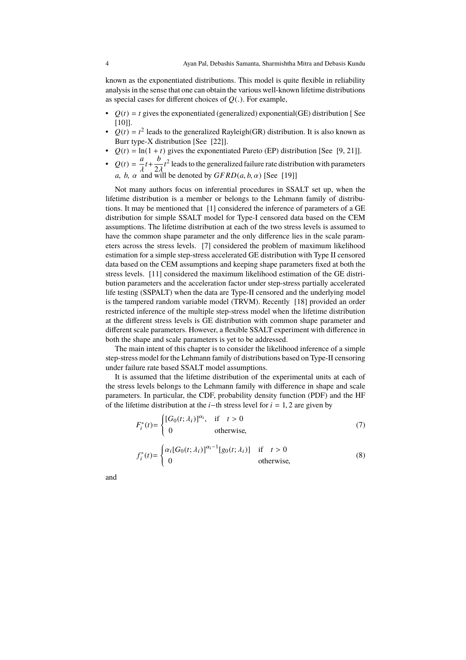known as the exponentiated distributions. This model is quite flexible in reliability analysis in the sense that one can obtain the various well-known lifetime distributions as special cases for different choices of *Q*(.). For example,

- $Q(t) = t$  gives the exponentiated (generalized) exponential(GE) distribution [See [10]].
- $Q(t) = t^2$  leads to the generalized Rayleigh(GR) distribution. It is also known as Burr type-X distribution [See [22]].
- $Q(t) = \ln(1 + t)$  gives the exponentiated Pareto (EP) distribution [See [9, 21]].
- $Q(t) = \frac{a}{b}$  $\frac{a}{\lambda}t + \frac{b}{2\lambda}$  $\frac{\partial}{\partial \lambda} t^2$  leads to the generalized failure rate distribution with parameters *a*, *b*,  $\alpha$  and will be denoted by  $GFRD(a, b, \alpha)$  [See [19]]

Not many authors focus on inferential procedures in SSALT set up, when the lifetime distribution is a member or belongs to the Lehmann family of distributions. It may be mentioned that [1] considered the inference of parameters of a GE distribution for simple SSALT model for Type-I censored data based on the CEM assumptions. The lifetime distribution at each of the two stress levels is assumed to have the common shape parameter and the only difference lies in the scale parameters across the stress levels. [7] considered the problem of maximum likelihood estimation for a simple step-stress accelerated GE distribution with Type II censored data based on the CEM assumptions and keeping shape parameters fixed at both the stress levels. [11] considered the maximum likelihood estimation of the GE distribution parameters and the acceleration factor under step-stress partially accelerated life testing (SSPALT) when the data are Type-II censored and the underlying model is the tampered random variable model (TRVM). Recently [18] provided an order restricted inference of the multiple step-stress model when the lifetime distribution at the different stress levels is GE distribution with common shape parameter and different scale parameters. However, a flexible SSALT experiment with difference in both the shape and scale parameters is yet to be addressed.

The main intent of this chapter is to consider the likelihood inference of a simple step-stress model for the Lehmann family of distributions based on Type-II censoring under failure rate based SSALT model assumptions.

It is assumed that the lifetime distribution of the experimental units at each of the stress levels belongs to the Lehmann family with difference in shape and scale parameters. In particular, the CDF, probability density function (PDF) and the HF of the lifetime distribution at the *<sup>i</sup>*−th stress level for *<sup>i</sup>* <sup>=</sup> <sup>1</sup>, 2 are given by

$$
F_i^*(t) = \begin{cases} [G_0(t; \lambda_i)]^{\alpha_i}, & \text{if } t > 0\\ 0 & \text{otherwise}, \end{cases}
$$
(7)

$$
f_i^*(t) = \begin{cases} \alpha_i [G_0(t; \lambda_i)]^{\alpha_i - 1} [g_0(t; \lambda_i)] & \text{if } t > 0\\ 0 & \text{otherwise,} \end{cases}
$$
(8)

and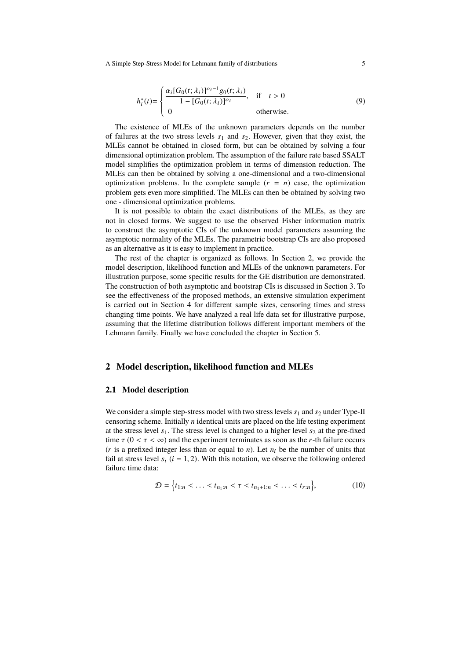$$
h_i^*(t) = \begin{cases} \frac{\alpha_i [G_0(t; \lambda_i)]^{\alpha_i - 1} g_0(t; \lambda_i)}{1 - [G_0(t; \lambda_i)]^{\alpha_i}}, & \text{if } t > 0\\ 0 & \text{otherwise.} \end{cases}
$$
(9)

The existence of MLEs of the unknown parameters depends on the number of failures at the two stress levels  $s_1$  and  $s_2$ . However, given that they exist, the MLEs cannot be obtained in closed form, but can be obtained by solving a four dimensional optimization problem. The assumption of the failure rate based SSALT model simplifies the optimization problem in terms of dimension reduction. The MLEs can then be obtained by solving a one-dimensional and a two-dimensional optimization problems. In the complete sample  $(r = n)$  case, the optimization problem gets even more simplified. The MLEs can then be obtained by solving two one - dimensional optimization problems.

It is not possible to obtain the exact distributions of the MLEs, as they are not in closed forms. We suggest to use the observed Fisher information matrix to construct the asymptotic CIs of the unknown model parameters assuming the asymptotic normality of the MLEs. The parametric bootstrap CIs are also proposed as an alternative as it is easy to implement in practice.

The rest of the chapter is organized as follows. In Section 2, we provide the model description, likelihood function and MLEs of the unknown parameters. For illustration purpose, some specific results for the GE distribution are demonstrated. The construction of both asymptotic and bootstrap CIs is discussed in Section 3. To see the effectiveness of the proposed methods, an extensive simulation experiment is carried out in Section 4 for different sample sizes, censoring times and stress changing time points. We have analyzed a real life data set for illustrative purpose, assuming that the lifetime distribution follows different important members of the Lehmann family. Finally we have concluded the chapter in Section 5.

#### **2 Model description, likelihood function and MLEs**

### **2.1 Model description**

We consider a simple step-stress model with two stress levels  $s_1$  and  $s_2$  under Type-II censoring scheme. Initially *n* identical units are placed on the life testing experiment at the stress level  $s_1$ . The stress level is changed to a higher level  $s_2$  at the pre-fixed time  $\tau$  (0 <  $\tau$  <  $\infty$ ) and the experiment terminates as soon as the *r*-th failure occurs ( $r$  is a prefixed integer less than or equal to  $n$ ). Let  $n_i$  be the number of units that fail at stress level  $s_i$  ( $i = 1, 2$ ). With this notation, we observe the following ordered failure time data:

$$
\mathcal{D} = \left\{ t_{1:n} < \ldots < t_{n_1:n} < \tau < t_{n_1+1:n} < \ldots < t_{r:n} \right\},\tag{10}
$$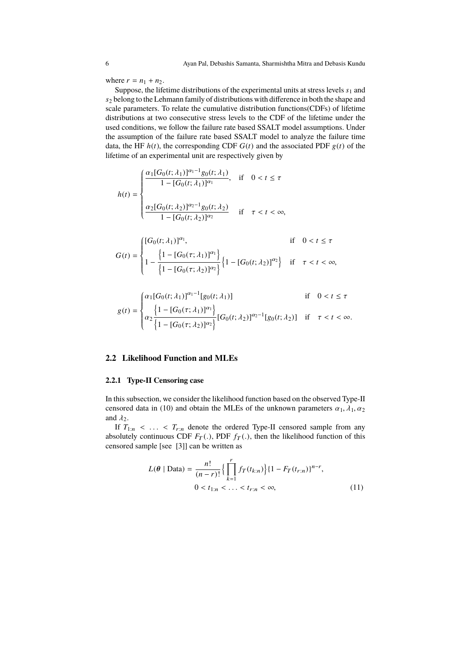where  $r = n_1 + n_2$ .

Suppose, the lifetime distributions of the experimental units at stress levels  $s_1$  and *s*<sup>2</sup> belong to the Lehmann family of distributions with difference in both the shape and scale parameters. To relate the cumulative distribution functions(CDFs) of lifetime distributions at two consecutive stress levels to the CDF of the lifetime under the used conditions, we follow the failure rate based SSALT model assumptions. Under the assumption of the failure rate based SSALT model to analyze the failure time data, the HF  $h(t)$ , the corresponding CDF  $G(t)$  and the associated PDF  $g(t)$  of the lifetime of an experimental unit are respectively given by

$$
h(t) = \begin{cases} \frac{\alpha_1 [G_0(t; \lambda_1)]^{\alpha_1 - 1} g_0(t; \lambda_1)}{1 - [G_0(t; \lambda_1)]^{\alpha_1}}, & \text{if } 0 < t \le \tau \\ \frac{\alpha_2 [G_0(t; \lambda_2)]^{\alpha_2 - 1} g_0(t; \lambda_2)}{1 - [G_0(t; \lambda_2)]^{\alpha_2}} & \text{if } \tau < t < \infty, \end{cases}
$$

$$
G(t) = \begin{cases} [G_0(t; \lambda_1)]^{\alpha_1}, & \text{if } 0 < t \le \tau \\ 1 - \frac{\left\{1 - [G_0(\tau; \lambda_1)]^{\alpha_1}\right\}}{\left\{1 - [G_0(\tau; \lambda_2)]^{\alpha_2}\right\}} \left\{1 - [G_0(t; \lambda_2)]^{\alpha_2}\right\} & \text{if } \tau < t < \infty, \end{cases}
$$

$$
g(t) = \begin{cases} \alpha_1[G_0(t; \lambda_1)]^{\alpha_1 - 1}[g_0(t; \lambda_1)] & \text{if } 0 < t \le \tau \\ \alpha_2 \frac{\{1 - [G_0(\tau; \lambda_1)]^{\alpha_1}\}}{\{1 - [G_0(\tau; \lambda_2)]^{\alpha_2}\}} [G_0(t; \lambda_2)]^{\alpha_2 - 1}[g_0(t; \lambda_2)] & \text{if } \tau < t < \infty. \end{cases}
$$

### **2.2 Likelihood Function and MLEs**

#### **2.2.1 Type-II Censoring case**

In this subsection, we consider the likelihood function based on the observed Type-II censored data in (10) and obtain the MLEs of the unknown parameters  $\alpha_1, \lambda_1, \alpha_2$ and  $\lambda_2$ .

If  $T_{1:n}$  < ... <  $T_{r:n}$  denote the ordered Type-II censored sample from any absolutely continuous CDF  $F_T(.)$ , PDF  $f_T(.)$ , then the likelihood function of this censored sample [see [3]] can be written as

$$
L(\theta \mid \text{Data}) = \frac{n!}{(n-r)!} \left\{ \prod_{k=1}^{r} f_T(t_{k:n}) \right\} \{1 - F_T(t_{r:n})\}^{n-r},
$$
  
0 < t\_{1:n} < ... < t\_{r:n} < \infty, (11)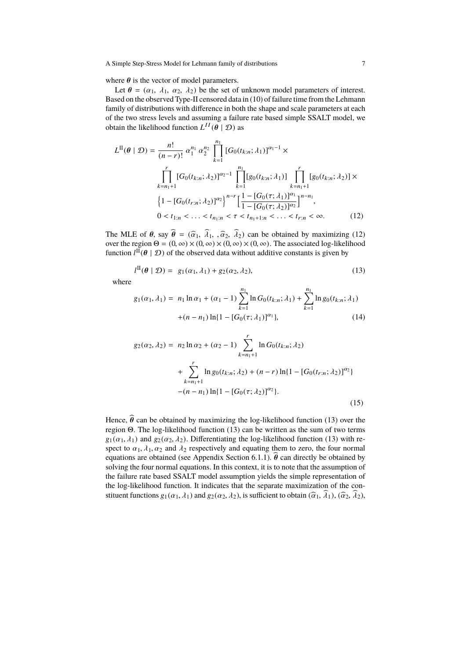where  $\theta$  is the vector of model parameters.

Let  $\theta = (\alpha_1, \lambda_1, \alpha_2, \lambda_2)$  be the set of unknown model parameters of interest. Based on the observed Type-II censored data in (10) of failure time from the Lehmann family of distributions with difference in both the shape and scale parameters at each of the two stress levels and assuming a failure rate based simple SSALT model, we obtain the likelihood function  $L^{II}(\theta | \mathcal{D})$  as

$$
L^{\Pi}(\theta \mid \mathcal{D}) = \frac{n!}{(n-r)!} \alpha_1^{n_1} \alpha_2^{n_2} \prod_{k=1}^{n_1} [G_0(t_{k:n}; \lambda_1)]^{\alpha_1 - 1} \times
$$
  

$$
\prod_{k=n_1+1}^{r} [G_0(t_{k:n}; \lambda_2)]^{\alpha_2 - 1} \prod_{k=1}^{n_1} [g_0(t_{k:n}; \lambda_1)] \prod_{k=n_1+1}^{r} [g_0(t_{k:n}; \lambda_2)] \times
$$
  

$$
\left\{ 1 - [G_0(t_{r:n}; \lambda_2)]^{\alpha_2} \right\}^{n-r} \left[ \frac{1 - [G_0(\tau; \lambda_1)]^{\alpha_1}}{1 - [G_0(\tau; \lambda_2)]^{\alpha_2}} \right]^{n-n_1},
$$
  

$$
0 < t_{1:n} < \dots < t_{n_1:n} < \tau < t_{n_1+1:n} < \dots < t_{r:n} < \infty.
$$
 (12)

The MLE of  $\theta$ , say  $\hat{\theta} = (\hat{\alpha}_1, \hat{\lambda}_1, \hat{\alpha}_2, \hat{\lambda}_2)$  can be obtained by maximizing (12) over the region  $\Theta = (0, \infty) \times (0, \infty) \times (0, \infty) \times (0, \infty)$ . The associated log-likelihood function  $l^{\overline{\text{II}}}(\theta | \mathcal{D})$  of the observed data without additive constants is given by

$$
l^{\Pi}(\boldsymbol{\theta} \mid \mathcal{D}) = g_1(\alpha_1, \lambda_1) + g_2(\alpha_2, \lambda_2), \qquad (13)
$$

where

$$
g_1(\alpha_1, \lambda_1) = n_1 \ln \alpha_1 + (\alpha_1 - 1) \sum_{k=1}^{n_1} \ln G_0(t_{k:n}; \lambda_1) + \sum_{k=1}^{n_1} \ln g_0(t_{k:n}; \lambda_1)
$$
  
 
$$
+ (n - n_1) \ln \{1 - [G_0(\tau; \lambda_1)]^{\alpha_1}\}, \tag{14}
$$

$$
g_2(\alpha_2, \lambda_2) = n_2 \ln \alpha_2 + (\alpha_2 - 1) \sum_{k=n_1+1}^r \ln G_0(t_{k:n}; \lambda_2)
$$
  
+ 
$$
\sum_{k=n_1+1}^r \ln g_0(t_{k:n}; \lambda_2) + (n-r) \ln \{1 - [G_0(t_{r:n}; \lambda_2)]^{\alpha_2}\}
$$
  
- 
$$
(n - n_1) \ln \{1 - [G_0(\tau; \lambda_2)]^{\alpha_2}\}.
$$
 (15)

Hence,  $\hat{\theta}$  can be obtained by maximizing the log-likelihood function (13) over the region Θ. The log-likelihood function (13) can be written as the sum of two terms  $g_1(\alpha_1, \lambda_1)$  and  $g_2(\alpha_2, \lambda_2)$ . Differentiating the log-likelihood function (13) with respect to  $\alpha_1$ ,  $\lambda_1$ ,  $\alpha_2$  and  $\lambda_2$  respectively and equating them to zero, the four normal equations are obtained (see Appendix Section 6.1.1).  $\hat{\theta}$  can directly be obtained by solving the four normal equations. In this context, it is to note that the assumption of the failure rate based SSALT model assumption yields the simple representation of the log-likelihood function. It indicates that the separate maximization of the constituent functions  $g_1(\alpha_1, \lambda_1)$  and  $g_2(\alpha_2, \lambda_2)$ , is sufficient to obtain  $(\widehat{\alpha}_1, \widehat{\lambda}_1), (\widehat{\alpha}_2, \widehat{\lambda}_2)$ ,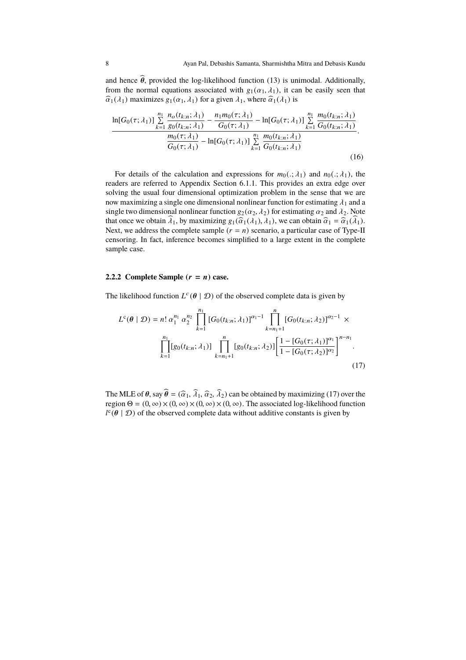and hence  $\hat{\theta}$ , provided the log-likelihood function (13) is unimodal. Additionally, from the normal equations associated with  $g_1(\alpha_1, \lambda_1)$ , it can be easily seen that  $\hat{\alpha}_1(\lambda_1)$  maximizes  $g_1(\alpha_1, \lambda_1)$  for a given  $\lambda_1$ , where  $\hat{\alpha}_1(\lambda_1)$  is

$$
\frac{\ln[G_0(\tau;\lambda_1)] \sum\limits_{k=1}^{n_1} \frac{n_o(t_{k:n};\lambda_1)}{g_0(t_{k:n};\lambda_1)} - \frac{n_1 m_0(\tau;\lambda_1)}{G_0(\tau;\lambda_1)} - \ln[G_0(\tau;\lambda_1)] \sum\limits_{k=1}^{n_1} \frac{m_0(t_{k:n};\lambda_1)}{G_0(t_{k:n};\lambda_1)}{\frac{m_0(\tau;\lambda_1)}{G_0(\tau;\lambda_1)} - \ln[G_0(\tau;\lambda_1)] \sum\limits_{k=1}^{n_1} \frac{m_0(t_{k:n};\lambda_1)}{G_0(t_{k:n};\lambda_1)}.
$$
\n(16)

For details of the calculation and expressions for  $m_0(.; \lambda_1)$  and  $n_0(.; \lambda_1)$ , the readers are referred to Appendix Section 6.1.1. This provides an extra edge over solving the usual four dimensional optimization problem in the sense that we are now maximizing a single one dimensional nonlinear function for estimating  $\lambda_1$  and a single two dimensional nonlinear function  $g_2(\alpha_2, \lambda_2)$  for estimating  $\alpha_2$  and  $\lambda_2$ . Note that once we obtain  $\widehat{\lambda}_1$ , by maximizing  $g_1(\widehat{\alpha}_1(\lambda_1), \lambda_1)$ , we can obtain  $\widehat{\alpha}_1 = \widehat{\alpha}_1(\widehat{\lambda}_1)$ . Next, we address the complete sample  $(r = n)$  scenario, a particular case of Type-II censoring. In fact, inference becomes simplified to a large extent in the complete sample case.

#### **2.2.2 Complete Sample**  $(r = n)$  **case.**

The likelihood function  $L^c(\theta | \mathcal{D})$  of the observed complete data is given by

$$
L^{c}(\theta \mid \mathcal{D}) = n! \alpha_{1}^{n_{1}} \alpha_{2}^{n_{2}} \prod_{k=1}^{n_{1}} [G_{0}(t_{k:n}; \lambda_{1})]^{\alpha_{1}-1} \prod_{k=n_{1}+1}^{n_{1}} [G_{0}(t_{k:n}; \lambda_{2})]^{\alpha_{2}-1} \times \prod_{k=1}^{n_{1}} [g_{0}(t_{k:n}; \lambda_{1})] \prod_{k=n_{1}+1}^{n_{1}} [g_{0}(t_{k:n}; \lambda_{2})] \left[ \frac{1 - [G_{0}(\tau; \lambda_{1})]^{\alpha_{1}}}{1 - [G_{0}(\tau; \lambda_{2})]^{\alpha_{2}}} \right]^{n-n_{1}}.
$$
\n(17)

The MLE of  $\theta$ , say  $\hat{\theta} = (\hat{\alpha}_1, \hat{\lambda}_1, \hat{\alpha}_2, \hat{\lambda}_2)$  can be obtained by maximizing (17) over the region  $\Theta = (0, \infty) \times (0, \infty) \times (0, \infty) \times (0, \infty)$ . The associated log-likelihood function  $l^c$ ( $\theta \mid \mathcal{D}$ ) of the observed complete data without additive constants is given by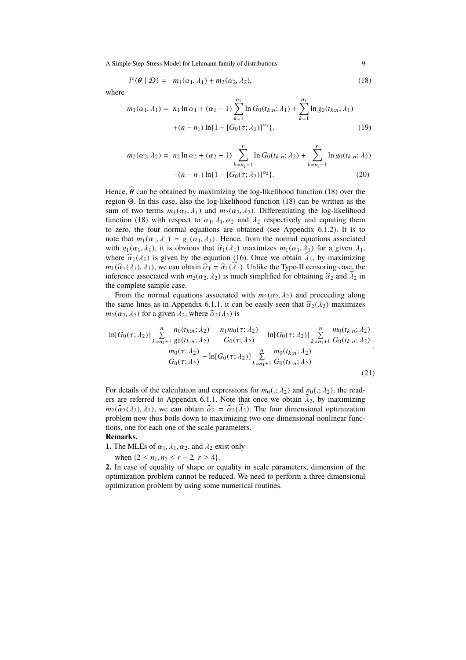$$
l^{c}(\boldsymbol{\theta} \mid \mathcal{D}) = m_1(\alpha_1, \lambda_1) + m_2(\alpha_2, \lambda_2), \qquad (18)
$$

where

$$
m_1(\alpha_1, \lambda_1) = n_1 \ln \alpha_1 + (\alpha_1 - 1) \sum_{k=1}^{n_1} \ln G_0(t_{k:n}; \lambda_1) + \sum_{k=1}^{n_1} \ln g_0(t_{k:n}; \lambda_1)
$$
  
 
$$
+ (n - n_1) \ln \{1 - [G_0(\tau; \lambda_1)]^{\alpha_1}\}.
$$
 (19)

$$
m_2(\alpha_2, \lambda_2) = n_2 \ln \alpha_2 + (\alpha_2 - 1) \sum_{k=n_1+1}^r \ln G_0(t_{k:n}; \lambda_2) + \sum_{k=n_1+1}^r \ln g_0(t_{k:n}; \lambda_2)
$$
  
 
$$
-(n - n_1) \ln \{1 - [G_0(\tau; \lambda_2)]^{\alpha_2}\}.
$$
 (20)

Hence,  $\hat{\theta}$  can be obtained by maximizing the log-likelihood function (18) over the region Θ. In this case, also the log-likelihood function (18) can be written as the sum of two terms  $m_1(\alpha_1, \lambda_1)$  and  $m_2(\alpha_2, \lambda_2)$ . Differentiating the log-likelihood function (18) with respect to  $\alpha_1$ ,  $\lambda_1$ ,  $\alpha_2$  and  $\lambda_2$  respectively and equating them to zero, the four normal equations are obtained (see Appendix 6.1.2). It is to note that  $m_1(\alpha_1, \lambda_1) = g_1(\alpha_1, \lambda_1)$ . Hence, from the normal equations associated with  $g_1(\alpha_1, \lambda_1)$ , it is obvious that  $\hat{\alpha}_1(\lambda_1)$  maximizes  $m_1(\alpha_1, \lambda_1)$  for a given  $\lambda_1$ , where  $\hat{\alpha}_1(\lambda_1)$  is given by the equation (16). Once we obtain  $\hat{\lambda}_1$ , by maximizing  $m_1(\widehat{\alpha}_1(\lambda_1), \lambda_1)$ , we can obtain  $\widehat{\alpha}_1 = \widehat{\alpha}_1(\widehat{\lambda}_1)$ . Unlike the Type-II censoring case, the inference associated with  $m_2(\alpha_2, \lambda_2)$  is much simplified for obtaining  $\hat{\alpha}_2$  and  $\lambda_2$  in the complete sample case.

From the normal equations associated with  $m_2(\alpha_2, \lambda_2)$  and proceeding along the same lines as in Appendix 6.1.1, it can be easily seen that  $\hat{\alpha}_2(\lambda_2)$  maximizes  $m_2(\alpha_2, \lambda_2)$  for a given  $\lambda_2$ , where  $\widehat{\alpha}_2(\lambda_2)$  is

$$
\frac{\ln[G_0(\tau;\lambda_2)] \sum\limits_{k=n_1+1}^n \frac{n_0(t_{k:n};\lambda_2)}{g_0(t_{k:n};\lambda_2)} - \frac{n_1m_0(\tau;\lambda_2)}{G_0(\tau;\lambda_2)} - \ln[G_0(\tau;\lambda_2)] \sum\limits_{k=n_1+1}^n \frac{m_0(t_{k:n};\lambda_2)}{G_0(t_{k:n};\lambda_2)}}{\frac{m_0(\tau;\lambda_2)}{G_0(\tau;\lambda_2)} - \ln[G_0(\tau;\lambda_2)] \sum\limits_{k=n_1+1}^n \frac{m_0(t_{k:n};\lambda_2)}{G_0(t_{k:n};\lambda_2)}}.
$$
\n(21)

For details of the calculation and expressions for  $m_0(.; \lambda_2)$  and  $n_0(.; \lambda_2)$ , the readers are referred to Appendix 6.1.1. Note that once we obtain  $\lambda_2$ , by maximizing  $m_2(\hat{\alpha}_2(\lambda_2), \lambda_2)$ , we can obtain  $\hat{\alpha}_2 = \hat{\alpha}_2(\hat{\lambda}_2)$ . The four dimensional optimization problem now thus boils down to maximizing two one dimensional nonlinear functions, one for each one of the scale parameters.

#### **Remarks.**

**1.** The MLEs of  $\alpha_1$ ,  $\lambda_1$ ,  $\alpha_2$ , and  $\lambda_2$  exist only

when  $\{2 \le n_1, n_2 \le r - 2, r \ge 4\}.$ 

**2**. In case of equality of shape or equality in scale parameters, dimension of the optimization problem cannot be reduced. We need to perform a three dimensional optimization problem by using some numerical routines.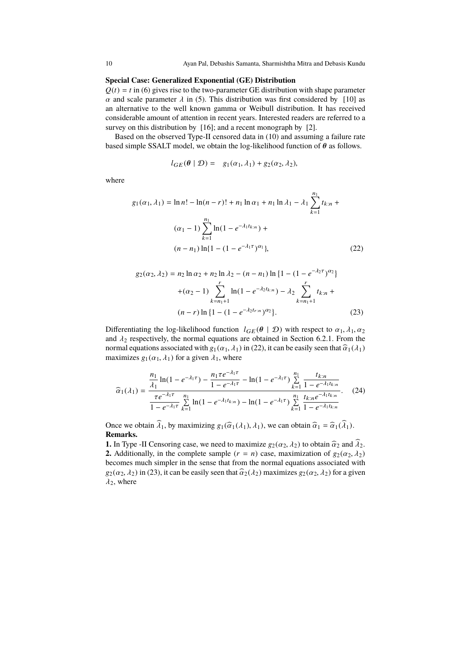$\mathbb{R}^2$ 

#### **Special Case: Generalized Exponential (GE) Distribution**

 $Q(t) = t$  in (6) gives rise to the two-parameter GE distribution with shape parameter  $\alpha$  and scale parameter  $\lambda$  in (5). This distribution was first considered by [10] as an alternative to the well known gamma or Weibull distribution. It has received considerable amount of attention in recent years. Interested readers are referred to a survey on this distribution by [16]; and a recent monograph by [2].

Based on the observed Type-II censored data in (10) and assuming a failure rate based simple SSALT model, we obtain the log-likelihood function of  $\theta$  as follows.

$$
l_{GE}(\theta \mid \mathcal{D}) = g_1(\alpha_1, \lambda_1) + g_2(\alpha_2, \lambda_2),
$$

where

$$
g_1(\alpha_1, \lambda_1) = \ln n! - \ln(n-r)! + n_1 \ln \alpha_1 + n_1 \ln \lambda_1 - \lambda_1 \sum_{k=1}^{n_1} t_{k:n} +
$$
  

$$
(\alpha_1 - 1) \sum_{k=1}^{n_1} \ln(1 - e^{-\lambda_1 t_{k:n}}) +
$$
  

$$
(n - n_1) \ln\{1 - (1 - e^{-\lambda_1 \tau})^{\alpha_1}\},
$$
 (22)

$$
g_2(\alpha_2, \lambda_2) = n_2 \ln \alpha_2 + n_2 \ln \lambda_2 - (n - n_1) \ln \{1 - (1 - e^{-\lambda_2 \tau})^{\alpha_2}\}\
$$

$$
+ (\alpha_2 - 1) \sum_{k=n_1+1}^r \ln(1 - e^{-\lambda_2 t_{k:n}}) - \lambda_2 \sum_{k=n_1+1}^r t_{k:n} +
$$

$$
(n - r) \ln \{1 - (1 - e^{-\lambda_2 t_{r:n}})^{\alpha_2}\}.
$$
(23)

Differentiating the log-likelihood function  $l_{GE}(\theta | \mathcal{D})$  with respect to  $\alpha_1, \lambda_1, \alpha_2$ and  $\lambda_2$  respectively, the normal equations are obtained in Section 6.2.1. From the normal equations associated with  $g_1(\alpha_1, \lambda_1)$  in (22), it can be easily seen that  $\hat{a}_1(\lambda_1)$ maximizes  $g_1(\alpha_1, \lambda_1)$  for a given  $\lambda_1$ , where

$$
\widehat{\alpha}_{1}(\lambda_{1}) = \frac{\frac{n_{1}}{\lambda_{1}}\ln(1 - e^{-\lambda_{1}\tau}) - \frac{n_{1}\tau e^{-\lambda_{1}\tau}}{1 - e^{-\lambda_{1}\tau}} - \ln(1 - e^{-\lambda_{1}\tau}) \sum_{k=1}^{n_{1}} \frac{t_{k:n}}{1 - e^{-\lambda_{1}t_{k:n}}}}{\frac{\tau e^{-\lambda_{1}\tau}}{1 - e^{-\lambda_{1}\tau}} \sum_{k=1}^{n_{1}} \ln(1 - e^{-\lambda_{1}t_{k:n}}) - \ln(1 - e^{-\lambda_{1}\tau}) \sum_{k=1}^{n_{1}} \frac{t_{k:n}e^{-\lambda_{1}t_{k:n}}}{1 - e^{-\lambda_{1}t_{k:n}}}}.
$$
(24)

Once we obtain  $\hat{\lambda}_1$ , by maximizing  $g_1(\hat{\alpha}_1(\lambda_1), \lambda_1)$ , we can obtain  $\hat{\alpha}_1 = \hat{\alpha}_1(\hat{\lambda}_1)$ . **Remarks.**

**1.** In Type -II Censoring case, we need to maximize  $g_2(\alpha_2, \lambda_2)$  to obtain  $\widehat{\alpha}_2$  and  $\widehat{\lambda}_2$ . **2.** Additionally, in the complete sample  $(r = n)$  case, maximization of  $g_2(\alpha_2, \lambda_2)$ becomes much simpler in the sense that from the normal equations associated with  $g_2(\alpha_2, \lambda_2)$  in (23), it can be easily seen that  $\hat{\alpha}_2(\lambda_2)$  maximizes  $g_2(\alpha_2, \lambda_2)$  for a given  $\lambda_2$ , where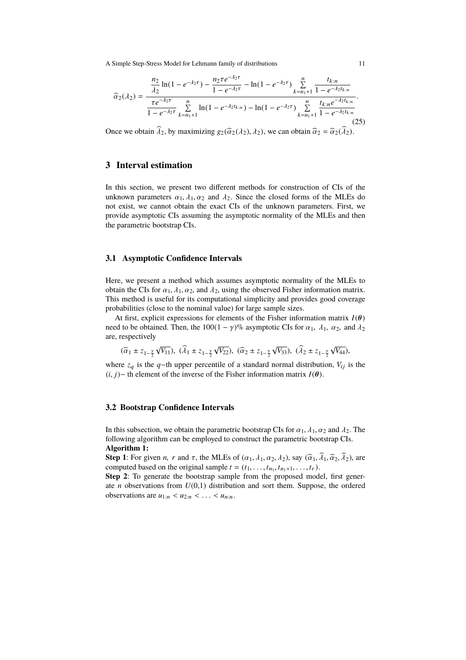$$
\widehat{\alpha}_{2}(\lambda_{2}) = \frac{\frac{n_{2}}{\lambda_{2}}\ln(1 - e^{-\lambda_{2}\tau}) - \frac{n_{2}\tau e^{-\lambda_{2}\tau}}{1 - e^{-\lambda_{2}\tau}} - \ln(1 - e^{-\lambda_{2}\tau}) \sum_{k=n_{1}+1}^{n} \frac{t_{k:n}}{1 - e^{-\lambda_{2}t_{k:n}}}}{\frac{\tau e^{-\lambda_{2}\tau}}{1 - e^{-\lambda_{2}\tau}} \sum_{k=n_{1}+1}^{n} \ln(1 - e^{-\lambda_{2}t_{k:n}}) - \ln(1 - e^{-\lambda_{2}\tau}) \sum_{k=n_{1}+1}^{n} \frac{t_{k:n}e^{-\lambda_{2}t_{k:n}}}{1 - e^{-\lambda_{2}t_{k:n}}}}.
$$
\n(25)

Once we obtain  $\hat{\lambda}_2$ , by maximizing  $g_2(\hat{\alpha}_2(\lambda_2), \lambda_2)$ , we can obtain  $\hat{\alpha}_2 = \hat{\alpha}_2(\hat{\lambda}_2)$ .

## **3 Interval estimation**

In this section, we present two different methods for construction of CIs of the unknown parameters  $\alpha_1, \lambda_1, \alpha_2$  and  $\lambda_2$ . Since the closed forms of the MLEs do not exist, we cannot obtain the exact CIs of the unknown parameters. First, we provide asymptotic CIs assuming the asymptotic normality of the MLEs and then the parametric bootstrap CIs.

#### **3.1 Asymptotic Confidence Intervals**

Here, we present a method which assumes asymptotic normality of the MLEs to obtain the CIs for  $\alpha_1$ ,  $\lambda_1$ ,  $\alpha_2$ , and  $\lambda_2$ , using the observed Fisher information matrix. This method is useful for its computational simplicity and provides good coverage probabilities (close to the nominal value) for large sample sizes.

At first, explicit expressions for elements of the Fisher information matrix  $I(\theta)$ need to be obtained. Then, the 100(1 –  $\gamma$ )% asymptotic CIs for  $\alpha_1$ ,  $\lambda_1$ ,  $\alpha_2$ , and  $\lambda_2$ are, respectively

$$
(\widehat{\alpha}_1 \pm z_{1-\frac{\gamma}{2}}\sqrt{V_{11}}), \ (\widehat{\lambda}_1 \pm z_{1-\frac{\gamma}{2}}\sqrt{V_{22}}), \ (\widehat{\alpha}_2 \pm z_{1-\frac{\gamma}{2}}\sqrt{V_{33}}), \ (\widehat{\lambda}_2 \pm z_{1-\frac{\gamma}{2}}\sqrt{V_{44}}),
$$

where  $z_q$  is the  $q$ −th upper percentile of a standard normal distribution,  $V_{ij}$  is the  $(i, j)$ − th element of the inverse of the Fisher information matrix  $I(\theta)$ .

### **3.2 Bootstrap Confidence Intervals**

In this subsection, we obtain the parametric bootstrap CIs for  $\alpha_1$ ,  $\lambda_1$ ,  $\alpha_2$  and  $\lambda_2$ . The following algorithm can be employed to construct the parametric bootstrap CIs. **Algorithm 1:**

**Step 1**: For given *n*, *r* and  $\tau$ , the MLEs of  $(\alpha_1, \lambda_1, \alpha_2, \lambda_2)$ , say  $(\hat{\alpha}_1, \hat{\lambda}_1, \hat{\alpha}_2, \hat{\lambda}_2)$ , are computed based on the original sample  $t = (t_1, \ldots, t_{n_1}, t_{n_1+1}, \ldots, t_r)$ .

**Step 2**: To generate the bootstrap sample from the proposed model, first generate *n* observations from  $U(0,1)$  distribution and sort them. Suppose, the ordered observations are  $u_{1:n} < u_{2:n} < \ldots < u_{n:n}$ .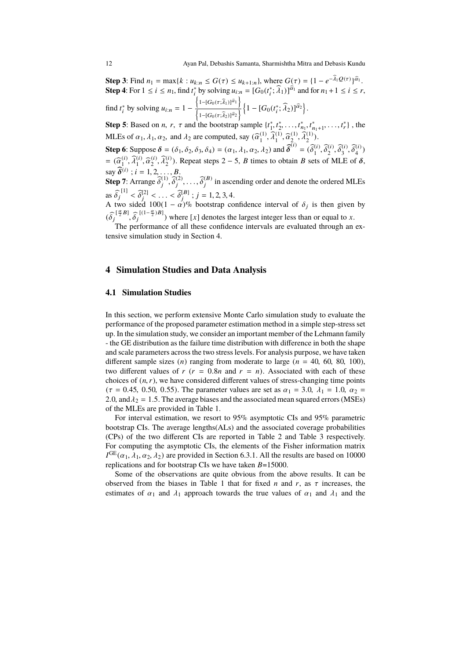**Step 3**: Find  $n_1 = \max\{k : u_{k:n} \leq G(\tau) \leq u_{k+1:n}\}$ , where  $G(\tau) = \{1 - e^{-\lambda_1 Q(\tau)}\}^{\hat{\alpha}_1}$ . **Step 4**: For  $1 \le i \le n_1$ , find  $t_i^*$  by solving  $u_{i:n} = [G_0(t_i^*; \hat{\lambda}_1)]^{\hat{\alpha}_1}$  and for  $n_1 + 1 \le i \le r$ ,  $\left\{1-[G_0(\tau;\widehat{\lambda}_1)]^{\widehat{\alpha}_1}\right\}$ 

find  $t_i^*$  by solving  $u_{i:n} = 1$  –  $\overline{\left\{\text{1-[}G_{0}(\tau;\widehat{\lambda}_{2})]^{\widehat{\alpha}_{2}}\right\}}$  $\left\{1 - [G_0(t_i^*; \widehat{\lambda}_2)]^{\widehat{\alpha}_2}\right\}.$ 

**Step 5**: Based on *n*, *r*,  $\tau$  and the bootstrap sample  $\{t_1^*, t_2^*, \ldots, t_{n_1}^*, t_{n_1+1}^*, \ldots, t_r^*\}$ , the MLEs of  $\alpha_1$ ,  $\lambda_1$ ,  $\alpha_2$ , and  $\lambda_2$  are computed, say  $(\widehat{\alpha}_1^{(1)})$  $\widehat{\lambda}_1^{(1)}, \widehat{\alpha}_2^{(1)}, \widehat{\alpha}_3^{(1)}$  $_{2}^{(1)}, \widehat{\lambda}_{2}^{(1)}$ ).

**Step 6**: Suppose  $\delta = (\delta_1, \delta_2, \delta_3, \delta_4) = (\alpha_1, \lambda_1, \alpha_2, \lambda_2)$  and  $\widehat{\delta}^{(i)} = (\widehat{\delta_1^{(i)}})$  $\begin{bmatrix} 1 \\ 1 \end{bmatrix}, \widehat{\delta}_2^{(i)}$  $\begin{matrix} (i),\ \widehat{\delta}_3^{(i)} \end{matrix}$  $\widetilde{\delta}_3^{(i)}, \widetilde{\delta}_4^{(i)}$  $_{4}^{(1)}$  $=$   $(\widehat{\alpha}_1^{(i)})$  $\widehat{\lambda}_1^{(i)}, \widehat{\lambda}_1^{(i)}, \widehat{\alpha}_2^{(i)}$  $\widehat{\lambda}_2^{(i)}$ ,  $\widehat{\lambda}_2^{(i)}$ ). Repeat steps 2 – 5, *B* times to obtain *B* sets of MLE of  $\delta$ , say  $\hat{\delta}^{(i)}$ ;  $i = 1, 2, ..., B$ .

**Step 7**: Arrange  $\widehat{\delta}_j^{(1)}$  $j^{(1)}, \widehat{\delta}_j^{(2)}$  $\widetilde{\delta}_j^{(2)}, \ldots, \widehat{\delta}_j^{(B)}$  $j_j^{(B)}$  in ascending order and denote the ordered MLEs as  $\widehat{\delta}_j^{\,[1]} < \widehat{\delta}_j^{\,[2]}$ [1]  $\begin{bmatrix} 2 \\ j \end{bmatrix}$  < ... <  $\widehat{\delta}_j^{[B]}$  $j^{[B]}$ ; *j* = 1, 2, 3, 4.

A two sided  $100(1 - \alpha)^{0}$  bootstrap confidence interval of  $\delta_j$  is then given by  $(\widehat{\delta}_j^{[\frac{\alpha}{2}B]}, \widehat{\delta}_j^{[(1-\frac{\alpha}{2})B]})$  where [*x*] denotes the largest integer less than or equal to *x*.

The performance of all these confidence intervals are evaluated through an extensive simulation study in Section 4.

### **4 Simulation Studies and Data Analysis**

#### **4.1 Simulation Studies**

In this section, we perform extensive Monte Carlo simulation study to evaluate the performance of the proposed parameter estimation method in a simple step-stress set up. In the simulation study, we consider an important member of the Lehmann family - the GE distribution as the failure time distribution with difference in both the shape and scale parameters across the two stress levels. For analysis purpose, we have taken different sample sizes  $(n)$  ranging from moderate to large  $(n = 40, 60, 80, 100)$ , two different values of  $r$  ( $r = 0.8n$  and  $r = n$ ). Associated with each of these choices of  $(n, r)$ , we have considered different values of stress-changing time points  $(\tau = 0.45, 0.50, 0.55)$ . The parameter values are set as  $\alpha_1 = 3.0, \lambda_1 = 1.0, \alpha_2 =$ 2.0, and  $\lambda_2 = 1.5$ . The average biases and the associated mean squared errors (MSEs) of the MLEs are provided in Table 1.

For interval estimation, we resort to 95% asymptotic CIs and 95% parametric bootstrap CIs. The average lengths(ALs) and the associated coverage probabilities (CPs) of the two different CIs are reported in Table 2 and Table 3 respectively. For computing the asymptotic CIs, the elements of the Fisher information matrix  $I^{\text{GE}}(\alpha_1, \lambda_1, \alpha_2, \lambda_2)$  are provided in Section 6.3.1. All the results are based on 10000 replications and for bootstrap CIs we have taken *B*=15000.

Some of the observations are quite obvious from the above results. It can be observed from the biases in Table 1 that for fixed *n* and *r*, as  $\tau$  increases, the estimates of  $\alpha_1$  and  $\lambda_1$  approach towards the true values of  $\alpha_1$  and  $\lambda_1$  and the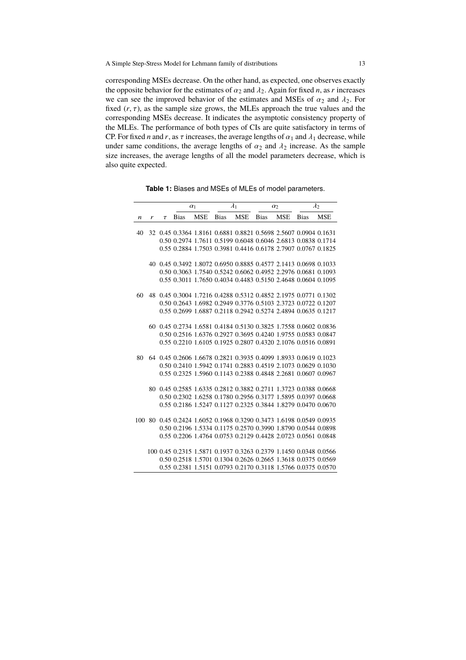corresponding MSEs decrease. On the other hand, as expected, one observes exactly the opposite behavior for the estimates of  $\alpha_2$  and  $\lambda_2$ . Again for fixed *n*, as *r* increases we can see the improved behavior of the estimates and MSEs of  $\alpha_2$  and  $\lambda_2$ . For fixed  $(r, \tau)$ , as the sample size grows, the MLEs approach the true values and the corresponding MSEs decrease. It indicates the asymptotic consistency property of the MLEs. The performance of both types of CIs are quite satisfactory in terms of CP. For fixed *n* and *r*, as  $\tau$  increases, the average lengths of  $\alpha_1$  and  $\lambda_1$  decrease, while under same conditions, the average lengths of  $\alpha_2$  and  $\lambda_2$  increase. As the sample size increases, the average lengths of all the model parameters decrease, which is also quite expected.

**Table 1:** Biases and MSEs of MLEs of model parameters.

|    |   |        | $\alpha_1$  |            | $\lambda_1$ |     | $\alpha_2$                                                          |            | $\lambda_2$ |            |
|----|---|--------|-------------|------------|-------------|-----|---------------------------------------------------------------------|------------|-------------|------------|
| n  | r | $\tau$ | <b>Bias</b> | <b>MSE</b> | Bias        | MSE | <b>Bias</b>                                                         | <b>MSE</b> | <b>Bias</b> | <b>MSE</b> |
|    |   |        |             |            |             |     |                                                                     |            |             |            |
| 40 |   |        |             |            |             |     | 32 0.45 0.3364 1.8161 0.6881 0.8821 0.5698 2.5607 0.0904 0.1631     |            |             |            |
|    |   |        |             |            |             |     | 0.50 0.2974 1.7611 0.5199 0.6048 0.6046 2.6813 0.0838 0.1714        |            |             |            |
|    |   |        |             |            |             |     | 0.55 0.2884 1.7503 0.3981 0.4416 0.6178 2.7907 0.0767 0.1825        |            |             |            |
|    |   |        |             |            |             |     |                                                                     |            |             |            |
|    |   |        |             |            |             |     | 40 0.45 0.3492 1.8072 0.6950 0.8885 0.4577 2.1413 0.0698 0.1033     |            |             |            |
|    |   |        |             |            |             |     | 0.50 0.3063 1.7540 0.5242 0.6062 0.4952 2.2976 0.0681 0.1093        |            |             |            |
|    |   |        |             |            |             |     | 0.55 0.3011 1.7650 0.4034 0.4483 0.5150 2.4648 0.0604 0.1095        |            |             |            |
|    |   |        |             |            |             |     |                                                                     |            |             |            |
| 60 |   |        |             |            |             |     | 48 0.45 0.3004 1.7216 0.4288 0.5312 0.4852 2.1975 0.0771 0.1302     |            |             |            |
|    |   |        |             |            |             |     | 0.50 0.2643 1.6982 0.2949 0.3776 0.5103 2.3723 0.0722 0.1207        |            |             |            |
|    |   |        |             |            |             |     | 0.55 0.2699 1.6887 0.2118 0.2942 0.5274 2.4894 0.0635 0.1217        |            |             |            |
|    |   |        |             |            |             |     |                                                                     |            |             |            |
|    |   |        |             |            |             |     | 60 0.45 0.2734 1.6581 0.4184 0.5130 0.3825 1.7558 0.0602 0.0836     |            |             |            |
|    |   |        |             |            |             |     | 0.50 0.2516 1.6376 0.2927 0.3695 0.4240 1.9755 0.0583 0.0847        |            |             |            |
|    |   |        |             |            |             |     | 0.55 0.2210 1.6105 0.1925 0.2807 0.4320 2.1076 0.0516 0.0891        |            |             |            |
|    |   |        |             |            |             |     |                                                                     |            |             |            |
| 80 |   |        |             |            |             |     | 64 0.45 0.2606 1.6678 0.2821 0.3935 0.4099 1.8933 0.0619 0.1023     |            |             |            |
|    |   |        |             |            |             |     | 0.50 0.2410 1.5942 0.1741 0.2883 0.4519 2.1073 0.0629 0.1030        |            |             |            |
|    |   |        |             |            |             |     | 0.55 0.2325 1.5960 0.1143 0.2388 0.4848 2.2681 0.0607 0.0967        |            |             |            |
|    |   |        |             |            |             |     |                                                                     |            |             |            |
|    |   |        |             |            |             |     | 80 0.45 0.2585 1.6335 0.2812 0.3882 0.2711 1.3723 0.0388 0.0668     |            |             |            |
|    |   |        |             |            |             |     | 0.50 0.2302 1.6258 0.1780 0.2956 0.3177 1.5895 0.0397 0.0668        |            |             |            |
|    |   |        |             |            |             |     | 0.55 0.2186 1.5247 0.1127 0.2325 0.3844 1.8279 0.0470 0.0670        |            |             |            |
|    |   |        |             |            |             |     |                                                                     |            |             |            |
|    |   |        |             |            |             |     | 100 80 0.45 0.2424 1.6052 0.1968 0.3290 0.3473 1.6198 0.0549 0.0935 |            |             |            |
|    |   |        |             |            |             |     | 0.50 0.2196 1.5334 0.1175 0.2570 0.3990 1.8790 0.0544 0.0898        |            |             |            |
|    |   |        |             |            |             |     | 0.55 0.2206 1.4764 0.0753 0.2129 0.4428 2.0723 0.0561 0.0848        |            |             |            |
|    |   |        |             |            |             |     | 100 0.45 0.2315 1.5871 0.1937 0.3263 0.2379 1.1450 0.0348 0.0566    |            |             |            |
|    |   |        |             |            |             |     | 0.50 0.2518 1.5701 0.1304 0.2626 0.2665 1.3618 0.0375 0.0569        |            |             |            |
|    |   |        |             |            |             |     | 0.55 0.2381 1.5151 0.0793 0.2170 0.3118 1.5766 0.0375 0.0570        |            |             |            |
|    |   |        |             |            |             |     |                                                                     |            |             |            |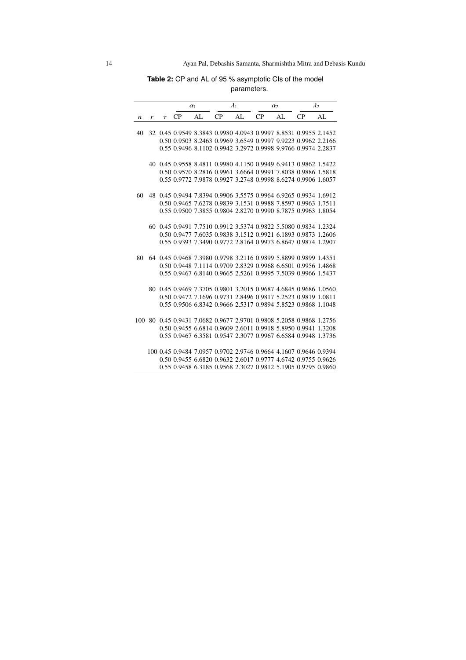**Table 2:** CP and AL of 95 % asymptotic CIs of the model parameters.

|                  |   |        | $\alpha_1$                                                          |    | $\lambda_1$ |    | $\alpha_2$ |    | $\lambda_2$ |     |
|------------------|---|--------|---------------------------------------------------------------------|----|-------------|----|------------|----|-------------|-----|
| $\boldsymbol{n}$ | r | $\tau$ | CP                                                                  | AL | CP          | AL | CP         | AL | CP          | AI. |
| 40               |   |        | 32 0.45 0.9549 8.3843 0.9980 4.0943 0.9997 8.8531 0.9955 2.1452     |    |             |    |            |    |             |     |
|                  |   |        | 0.50 0.9503 8.2463 0.9969 3.6549 0.9997 9.9223 0.9962 2.2166        |    |             |    |            |    |             |     |
|                  |   |        | 0.55 0.9496 8.1102 0.9942 3.2972 0.9998 9.9766 0.9974 2.2837        |    |             |    |            |    |             |     |
|                  |   |        | 40 0.45 0.9558 8.4811 0.9980 4.1150 0.9949 6.9413 0.9862 1.5422     |    |             |    |            |    |             |     |
|                  |   |        | 0.50 0.9570 8.2816 0.9961 3.6664 0.9991 7.8038 0.9886 1.5818        |    |             |    |            |    |             |     |
|                  |   |        |                                                                     |    |             |    |            |    |             |     |
|                  |   |        | 0.55 0.9772 7.9878 0.9927 3.2748 0.9998 8.6274 0.9906 1.6057        |    |             |    |            |    |             |     |
| 60               |   |        | 48 0.45 0.9494 7.8394 0.9906 3.5575 0.9964 6.9265 0.9934 1.6912     |    |             |    |            |    |             |     |
|                  |   |        | 0.50 0.9465 7.6278 0.9839 3.1531 0.9988 7.8597 0.9963 1.7511        |    |             |    |            |    |             |     |
|                  |   |        | 0.55 0.9500 7.3855 0.9804 2.8270 0.9990 8.7875 0.9963 1.8054        |    |             |    |            |    |             |     |
|                  |   |        | 60 0.45 0.9491 7.7510 0.9912 3.5374 0.9822 5.5080 0.9834 1.2324     |    |             |    |            |    |             |     |
|                  |   |        | 0.50 0.9477 7.6035 0.9838 3.1512 0.9921 6.1893 0.9873 1.2606        |    |             |    |            |    |             |     |
|                  |   |        | 0.55 0.9393 7.3490 0.9772 2.8164 0.9973 6.8647 0.9874 1.2907        |    |             |    |            |    |             |     |
|                  |   |        |                                                                     |    |             |    |            |    |             |     |
| 80               |   |        | 64 0.45 0.9468 7.3980 0.9798 3.2116 0.9899 5.8899 0.9899 1.4351     |    |             |    |            |    |             |     |
|                  |   |        | 0.50 0.9448 7.1114 0.9709 2.8329 0.9968 6.6501 0.9956 1.4868        |    |             |    |            |    |             |     |
|                  |   |        | 0.55 0.9467 6.8140 0.9665 2.5261 0.9995 7.5039 0.9966 1.5437        |    |             |    |            |    |             |     |
|                  |   |        | 80 0.45 0.9469 7.3705 0.9801 3.2015 0.9687 4.6845 0.9686 1.0560     |    |             |    |            |    |             |     |
|                  |   |        | 0.50 0.9472 7.1696 0.9731 2.8496 0.9817 5.2523 0.9819 1.0811        |    |             |    |            |    |             |     |
|                  |   |        | 0.55 0.9506 6.8342 0.9666 2.5317 0.9894 5.8523 0.9868 1.1048        |    |             |    |            |    |             |     |
|                  |   |        |                                                                     |    |             |    |            |    |             |     |
|                  |   |        | 100 80 0.45 0.9431 7.0682 0.9677 2.9701 0.9808 5.2058 0.9868 1.2756 |    |             |    |            |    |             |     |
|                  |   |        | 0.50 0.9455 6.6814 0.9609 2.6011 0.9918 5.8950 0.9941 1.3208        |    |             |    |            |    |             |     |
|                  |   |        | 0.55 0.9467 6.3581 0.9547 2.3077 0.9967 6.6584 0.9948 1.3736        |    |             |    |            |    |             |     |
|                  |   |        | 100 0.45 0.9484 7.0957 0.9702 2.9746 0.9664 4.1607 0.9646 0.9394    |    |             |    |            |    |             |     |
|                  |   |        | 0.50 0.9455 6.6820 0.9632 2.6017 0.9777 4.6742 0.9755 0.9626        |    |             |    |            |    |             |     |
|                  |   |        | 0.55 0.9458 6.3185 0.9568 2.3027 0.9812 5.1905 0.9795 0.9860        |    |             |    |            |    |             |     |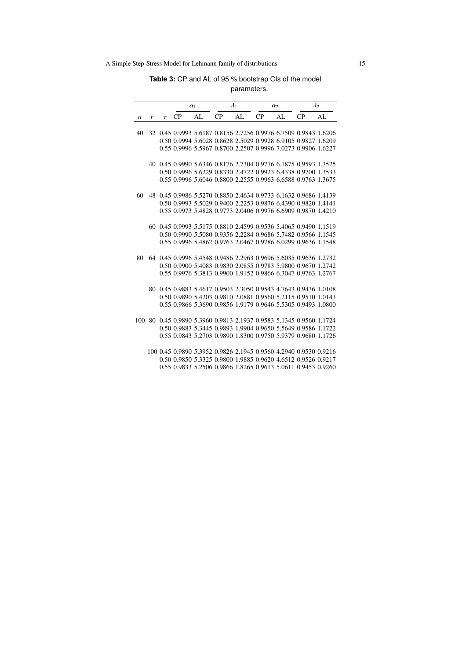**Table 3:** CP and AL of 95 % bootstrap CIs of the model parameters.

|                  |   |        | $\alpha_1$                                                          |     | $\lambda_1$ |    | $\alpha$ |    | $\lambda_2$ |     |
|------------------|---|--------|---------------------------------------------------------------------|-----|-------------|----|----------|----|-------------|-----|
| $\boldsymbol{n}$ | r | $\tau$ | CP                                                                  | AI. | CP          | AL | CP       | AL | CP          | AI. |
| 40               |   |        | 32 0.45 0.9993 5.6187 0.8156 2.7256 0.9976 6.7509 0.9843 1.6206     |     |             |    |          |    |             |     |
|                  |   |        | 0.50 0.9994 5.6028 0.8628 2.5029 0.9928 6.9105 0.9827 1.6209        |     |             |    |          |    |             |     |
|                  |   |        | 0.55 0.9996 5.5967 0.8700 2.2507 0.9996 7.0273 0.9906 1.6227        |     |             |    |          |    |             |     |
|                  |   |        |                                                                     |     |             |    |          |    |             |     |
|                  |   |        | 40 0.45 0.9990 5.6346 0.8176 2.7304 0.9776 6.1875 0.9593 1.3525     |     |             |    |          |    |             |     |
|                  |   |        | 0.50 0.9996 5.6229 0.8330 2.4722 0.9923 6.4338 0.9700 1.3533        |     |             |    |          |    |             |     |
|                  |   |        | 0.55 0.9996 5.6046 0.8800 2.2555 0.9963 6.6588 0.9763 1.3675        |     |             |    |          |    |             |     |
| 60               |   |        | 48 0.45 0.9986 5.5270 0.8850 2.4634 0.9733 6.1632 0.9686 1.4139     |     |             |    |          |    |             |     |
|                  |   |        | 0.50 0.9993 5.5029 0.9400 2.2253 0.9876 6.4390 0.9820 1.4141        |     |             |    |          |    |             |     |
|                  |   |        | 0.55 0.9973 5.4828 0.9773 2.0406 0.9976 6.6909 0.9870 1.4210        |     |             |    |          |    |             |     |
|                  |   |        |                                                                     |     |             |    |          |    |             |     |
|                  |   |        | 60 0.45 0.9993 5.5175 0.8810 2.4599 0.9536 5.4065 0.9490 1.1519     |     |             |    |          |    |             |     |
|                  |   |        | 0.50 0.9990 5.5080 0.9356 2.2284 0.9686 5.7482 0.9566 1.1545        |     |             |    |          |    |             |     |
|                  |   |        | 0.55 0.9996 5.4862 0.9763 2.0467 0.9786 6.0299 0.9636 1.1548        |     |             |    |          |    |             |     |
| 80               |   |        | 64 0.45 0.9996 5.4548 0.9486 2.2963 0.9696 5.6035 0.9636 1.2732     |     |             |    |          |    |             |     |
|                  |   |        | 0.50 0.9900 5.4083 0.9830 2.0855 0.9783 5.9800 0.9670 1.2742        |     |             |    |          |    |             |     |
|                  |   |        | 0.55 0.9976 5.3813 0.9900 1.9152 0.9866 6.3047 0.9763 1.2767        |     |             |    |          |    |             |     |
|                  |   |        |                                                                     |     |             |    |          |    |             |     |
|                  |   |        | 80 0.45 0.9883 5.4617 0.9503 2.3050 0.9543 4.7643 0.9436 1.0108     |     |             |    |          |    |             |     |
|                  |   |        | 0.50 0.9890 5.4203 0.9810 2.0881 0.9560 5.2115 0.9510 1.0143        |     |             |    |          |    |             |     |
|                  |   |        | 0.55 0.9866 5.3690 0.9856 1.9179 0.9646 5.5305 0.9493 1.0800        |     |             |    |          |    |             |     |
|                  |   |        | 100 80 0.45 0.9890 5.3960 0.9813 2.1937 0.9583 5.1345 0.9560 1.1724 |     |             |    |          |    |             |     |
|                  |   |        | 0.50 0.9883 5.3445 0.9893 1.9904 0.9650 5.5649 0.9586 1.1722        |     |             |    |          |    |             |     |
|                  |   |        | 0.55 0.9843 5.2703 0.9890 1.8300 0.9750 5.9379 0.9680 1.1726        |     |             |    |          |    |             |     |
|                  |   |        |                                                                     |     |             |    |          |    |             |     |
|                  |   |        | 100 0.45 0.9890 5.3952 0.9826 2.1945 0.9560 4.2940 0.9530 0.9216    |     |             |    |          |    |             |     |
|                  |   |        | 0.50 0.9850 5.3325 0.9800 1.9885 0.9620 4.6512 0.9526 0.9217        |     |             |    |          |    |             |     |
|                  |   |        | 0.55 0.9833 5.2506 0.9866 1.8265 0.9613 5.0611 0.9453 0.9260        |     |             |    |          |    |             |     |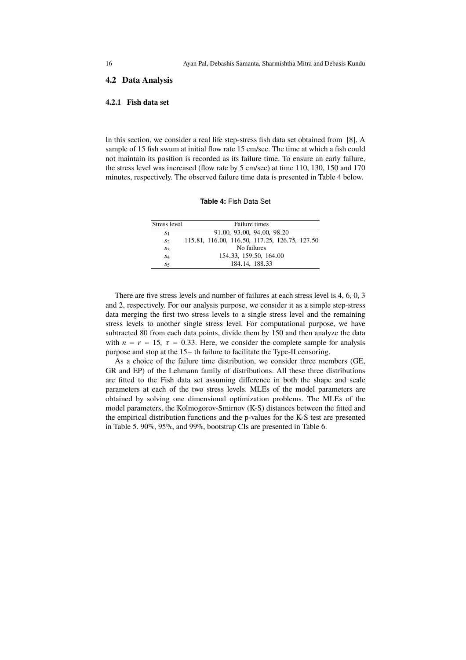### **4.2 Data Analysis**

#### **4.2.1 Fish data set**

In this section, we consider a real life step-stress fish data set obtained from [8]. A sample of 15 fish swum at initial flow rate 15 cm/sec. The time at which a fish could not maintain its position is recorded as its failure time. To ensure an early failure, the stress level was increased (flow rate by 5 cm/sec) at time 110, 130, 150 and 170 minutes, respectively. The observed failure time data is presented in Table 4 below.

#### **Table 4:** Fish Data Set

| Stress level   | Failure times                                  |
|----------------|------------------------------------------------|
| S <sub>1</sub> | 91.00, 93.00, 94.00, 98.20                     |
| $S_2$          | 115.81, 116.00, 116.50, 117.25, 126.75, 127.50 |
| $S_3$          | No failures                                    |
| $S_4$          | 154.33, 159.50, 164.00                         |
| S <sub>5</sub> | 184.14. 188.33                                 |

There are five stress levels and number of failures at each stress level is 4, 6, 0, 3 and 2, respectively. For our analysis purpose, we consider it as a simple step-stress data merging the first two stress levels to a single stress level and the remaining stress levels to another single stress level. For computational purpose, we have subtracted 80 from each data points, divide them by 150 and then analyze the data with  $n = r = 15$ ,  $\tau = 0.33$ . Here, we consider the complete sample for analysis purpose and stop at the 15− th failure to facilitate the Type-II censoring.

As a choice of the failure time distribution, we consider three members (GE, GR and EP) of the Lehmann family of distributions. All these three distributions are fitted to the Fish data set assuming difference in both the shape and scale parameters at each of the two stress levels. MLEs of the model parameters are obtained by solving one dimensional optimization problems. The MLEs of the model parameters, the Kolmogorov-Smirnov (K-S) distances between the fitted and the empirical distribution functions and the p-values for the K-S test are presented in Table 5. 90%, 95%, and 99%, bootstrap CIs are presented in Table 6.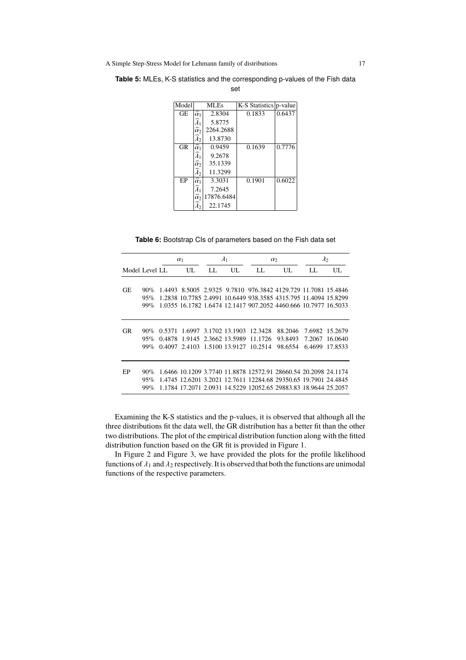| Model |                             | MLEs       | K-S Statistics   p-value |        |  |  |
|-------|-----------------------------|------------|--------------------------|--------|--|--|
|       |                             |            |                          |        |  |  |
| GE    | $\overline{\hat{\alpha}}_1$ | 2.8304     | 0.1833                   | 0.6437 |  |  |
|       | $\widehat{\lambda}_1$       | 5.8775     |                          |        |  |  |
|       | $\widehat{\alpha}$          | 2264.2688  |                          |        |  |  |
|       | $\lambda_{2}$               | 13.8730    |                          |        |  |  |
| GR    | $\overline{\hat{\alpha}}_1$ | 0.9459     | 0.1639                   | 0.7776 |  |  |
|       | $\widetilde{\lambda}_1$     | 9.2678     |                          |        |  |  |
|       | $\widehat{\alpha}$          | 35.1339    |                          |        |  |  |
|       | $\lambda_2$                 | 11.3299    |                          |        |  |  |
| EP    | $\widehat{\alpha}_1$        | 3.3031     | 0.1901                   | 0.6022 |  |  |
|       | $\widetilde{\lambda}_1$     | 7.2645     |                          |        |  |  |
|       | $\widehat{\alpha}$          | 17876.6484 |                          |        |  |  |
|       | $\lambda_2$                 | 22.1745    |                          |        |  |  |

**Table 5:** MLEs, K-S statistics and the corresponding p-values of the Fish data set

| Table 6: Bootstrap CIs of parameters based on the Fish data set |
|-----------------------------------------------------------------|
|-----------------------------------------------------------------|

|                |        | $\alpha_1$ |                              | $\lambda_1$ |                       | $\alpha$                      |                                                                 | $\lambda_2$ |                |
|----------------|--------|------------|------------------------------|-------------|-----------------------|-------------------------------|-----------------------------------------------------------------|-------------|----------------|
| Model Level LL |        |            | UL.                          | LL.         | UL.                   | LL.                           | UL.                                                             | LL.         | UL.            |
|                |        |            |                              |             |                       |                               |                                                                 |             |                |
| GE             | $90\%$ |            |                              |             |                       |                               | 1.4493 8.5005 2.9325 9.7810 976.3842 4129.729 11.7081 15.4846   |             |                |
|                | 95%    |            |                              |             |                       |                               | 1,2838 10,7785 2,4991 10,6449 938,3585 4315,795 11,4094 15,8299 |             |                |
|                | $99\%$ |            |                              |             |                       |                               | 1.0355 16.1782 1.6474 12.1417 907.2052 4460.666 10.7977 16.5033 |             |                |
|                |        |            |                              |             |                       |                               |                                                                 |             |                |
|                |        |            |                              |             |                       |                               |                                                                 |             |                |
| GR             | 90%    | 0.5371     |                              |             |                       | 1.6997 3.1702 13.1903 12.3428 | 88.2046                                                         |             | 7.6982 15.2679 |
|                | 95%    | 0.4878     |                              |             | 1.9145 2.3662 13.5989 | 11.1726                       | 93.8493                                                         | 7.2067      | 16.0640        |
|                | $99\%$ |            | 0.4097 2.4103 1.5100 13.9127 |             |                       | 10.2514                       | 98.6554                                                         | 6.4699      | 17.8533        |
|                |        |            |                              |             |                       |                               |                                                                 |             |                |
| EP             | $90\%$ |            |                              |             |                       |                               | 1.6466 10.1209 3.7740 11.8878 12572.91 28660.54 20.2098 24.1174 |             |                |
|                | 95%    |            |                              |             |                       |                               | 1.4745 12.6201 3.2021 12.7611 12284.68 29350.65 19.7901 24.4845 |             |                |
|                | $99\%$ |            |                              |             |                       |                               | 1.1784 17.2071 2.0931 14.5229 12052.65 29883.83 18.9644 25.2057 |             |                |

Examining the K-S statistics and the p-values, it is observed that although all the three distributions fit the data well, the GR distribution has a better fit than the other two distributions. The plot of the empirical distribution function along with the fitted distribution function based on the GR fit is provided in Figure 1.

In Figure 2 and Figure 3, we have provided the plots for the profile likelihood functions of  $\lambda_1$  and  $\lambda_2$  respectively. It is observed that both the functions are unimodal functions of the respective parameters.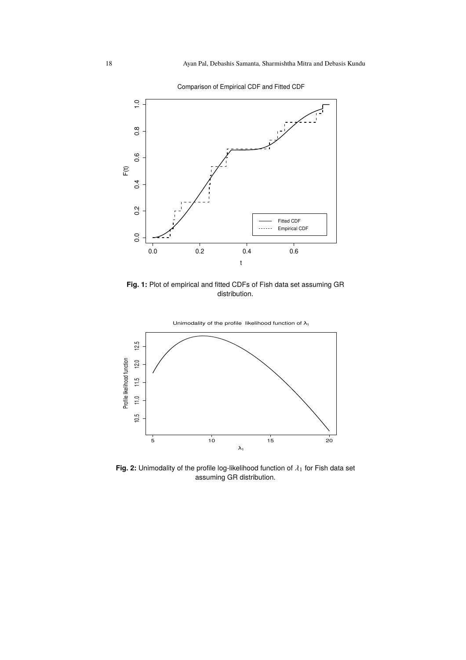

Comparison of Empirical CDF and Fitted CDF

**Fig. 1:** Plot of empirical and fitted CDFs of Fish data set assuming GR distribution.



**Fig. 2:** Unimodality of the profile log-likelihood function of  $\lambda_1$  for Fish data set assuming GR distribution.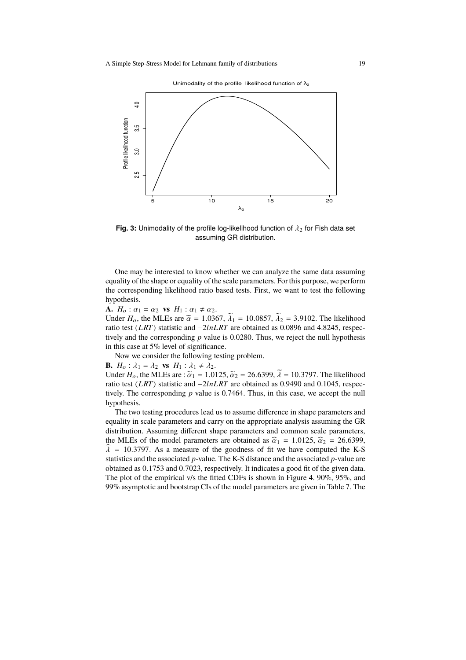Unimodality of the profile likelihood function of  $\lambda_2$ 



**Fig. 3:** Unimodality of the profile log-likelihood function of  $\lambda_2$  for Fish data set assuming GR distribution.

One may be interested to know whether we can analyze the same data assuming equality of the shape or equality of the scale parameters. For this purpose, we perform the corresponding likelihood ratio based tests. First, we want to test the following hypothesis.

**A.**  $H_o: \alpha_1 = \alpha_2$  **vs**  $H_1: \alpha_1 \neq \alpha_2$ .

Under  $H_o$ , the MLEs are  $\tilde{\alpha} = 1.0367$ ,  $\tilde{\lambda}_1 = 10.0857$ ,  $\tilde{\lambda}_2 = 3.9102$ . The likelihood ratio test (*LRT*) statistic and −2*lnLRT* are obtained as 0.0896 and 4.8245, respectively and the corresponding *p* value is 0.0280. Thus, we reject the null hypothesis in this case at 5% level of significance.

Now we consider the following testing problem.

**B.**  $H_o: \lambda_1 = \lambda_2$  **vs**  $H_1: \lambda_1 \neq \lambda_2$ .

Under  $H_0$ , the MLEs are :  $\tilde{a}_1 = 1.0125$ ,  $\tilde{a}_2 = 26.6399$ ,  $\tilde{\lambda} = 10.3797$ . The likelihood ratio test (*LRT*) statistic and −2*lnLRT* are obtained as 0.9490 and 0.1045, respectively. The corresponding *p* value is 0.7464. Thus, in this case, we accept the null hypothesis.

The two testing procedures lead us to assume difference in shape parameters and equality in scale parameters and carry on the appropriate analysis assuming the GR distribution. Assuming different shape parameters and common scale parameters, the MLEs of the model parameters are obtained as  $\hat{\alpha}_1 = 1.0125$ ,  $\hat{\alpha}_2 = 26.6399$ ,  $\hat{\lambda}$  = 10.3797. As a measure of the goodness of fit we have computed the K-S statistics and the associated *p*-value. The K-S distance and the associated *p*-value are obtained as 0.1753 and 0.7023, respectively. It indicates a good fit of the given data. The plot of the empirical v/s the fitted CDFs is shown in Figure 4. 90%, 95%, and 99% asymptotic and bootstrap CIs of the model parameters are given in Table 7. The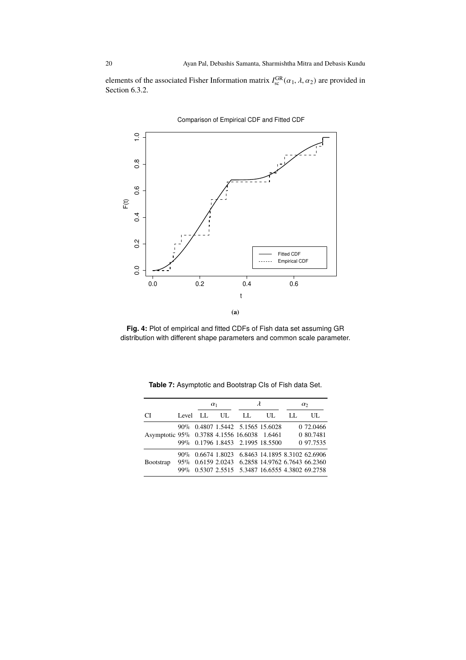elements of the associated Fisher Information matrix  $I_{\text{sc}}^{\text{GR}}(\alpha_1, \lambda, \alpha_2)$  are provided in Section 6.3.2.



Comparison of Empirical CDF and Fitted CDF

**Fig. 4:** Plot of empirical and fitted CDFs of Fish data set assuming GR distribution with different shape parameters and common scale parameter.

|                                             |          | $\alpha_1$ |     |                                                                                                                                                   | $\lambda$ | $\alpha$ |                                     |
|---------------------------------------------|----------|------------|-----|---------------------------------------------------------------------------------------------------------------------------------------------------|-----------|----------|-------------------------------------|
| CI.                                         | Level LL |            | UL. | LL.                                                                                                                                               | UL.       | LL.      | UЦ.                                 |
| Asymptotic 95% 0.3788 4.1556 16.6038 1.6461 |          |            |     | 90% 0.4807 1.5442 5.1565 15.6028<br>99% 0.1796 1.8453 2.1995 18.5500                                                                              |           |          | 0 72.0466<br>0 80.7481<br>0 97.7535 |
| <b>Bootstrap</b>                            | $99\%$   |            |     | 90% 0.6674 1.8023 6.8463 14.1895 8.3102 62.6906<br>95% 0.6159 2.0243 6.2858 14.9762 6.7643 66.2360<br>0.5307 2.5515 5.3487 16.6555 4.3802 69.2758 |           |          |                                     |

**Table 7:** Asymptotic and Bootstrap CIs of Fish data Set.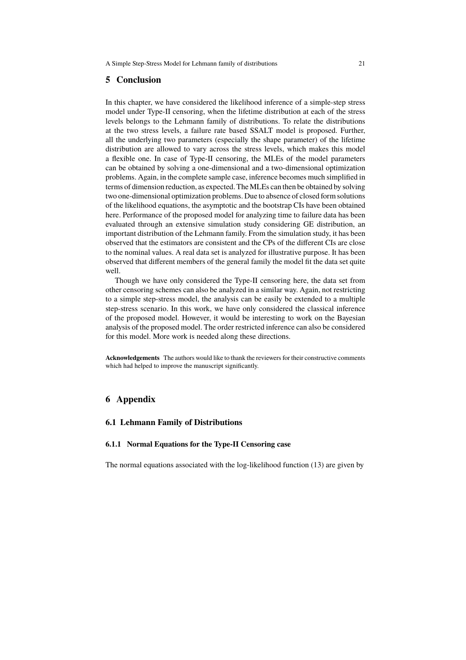### **5 Conclusion**

In this chapter, we have considered the likelihood inference of a simple-step stress model under Type-II censoring, when the lifetime distribution at each of the stress levels belongs to the Lehmann family of distributions. To relate the distributions at the two stress levels, a failure rate based SSALT model is proposed. Further, all the underlying two parameters (especially the shape parameter) of the lifetime distribution are allowed to vary across the stress levels, which makes this model a flexible one. In case of Type-II censoring, the MLEs of the model parameters can be obtained by solving a one-dimensional and a two-dimensional optimization problems. Again, in the complete sample case, inference becomes much simplified in terms of dimension reduction, as expected. The MLEs can then be obtained by solving two one-dimensional optimization problems. Due to absence of closed form solutions of the likelihood equations, the asymptotic and the bootstrap CIs have been obtained here. Performance of the proposed model for analyzing time to failure data has been evaluated through an extensive simulation study considering GE distribution, an important distribution of the Lehmann family. From the simulation study, it has been observed that the estimators are consistent and the CPs of the different CIs are close to the nominal values. A real data set is analyzed for illustrative purpose. It has been observed that different members of the general family the model fit the data set quite well.

Though we have only considered the Type-II censoring here, the data set from other censoring schemes can also be analyzed in a similar way. Again, not restricting to a simple step-stress model, the analysis can be easily be extended to a multiple step-stress scenario. In this work, we have only considered the classical inference of the proposed model. However, it would be interesting to work on the Bayesian analysis of the proposed model. The order restricted inference can also be considered for this model. More work is needed along these directions.

**Acknowledgements** The authors would like to thank the reviewers for their constructive comments which had helped to improve the manuscript significantly.

# **6 Appendix**

#### **6.1 Lehmann Family of Distributions**

#### **6.1.1 Normal Equations for the Type-II Censoring case**

The normal equations associated with the log-likelihood function (13) are given by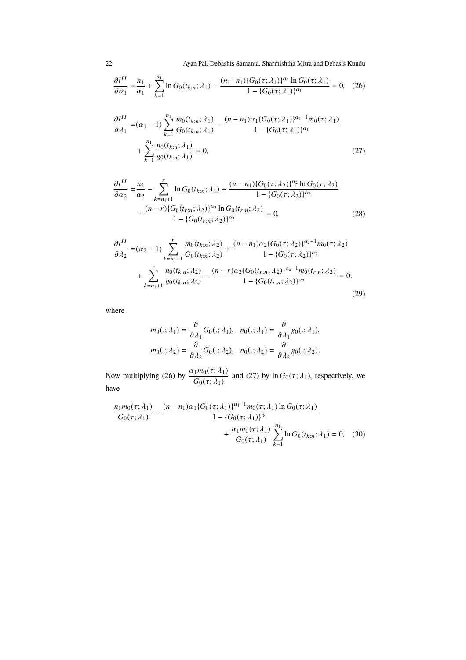22 Ayan Pal, Debashis Samanta, Sharmishtha Mitra and Debasis Kundu

$$
\frac{\partial l^{II}}{\partial \alpha_1} = \frac{n_1}{\alpha_1} + \sum_{k=1}^{n_1} \ln G_0(t_{k:n}; \lambda_1) - \frac{(n - n_1) \{ G_0(\tau; \lambda_1) \}^{\alpha_1} \ln G_0(\tau; \lambda_1)}{1 - \{ G_0(\tau; \lambda_1) \}^{\alpha_1}} = 0, \quad (26)
$$

$$
\frac{\partial l^{II}}{\partial \lambda_1} = (\alpha_1 - 1) \sum_{k=1}^{n_1} \frac{m_0(t_{k:n}; \lambda_1)}{G_0(t_{k:n}; \lambda_1)} - \frac{(n - n_1)\alpha_1 \{G_0(\tau; \lambda_1)\}^{\alpha_1 - 1} m_0(\tau; \lambda_1)}{1 - \{G_0(\tau; \lambda_1)\}^{\alpha_1}} + \sum_{k=1}^{n_1} \frac{n_0(t_{k:n}; \lambda_1)}{g_0(t_{k:n}; \lambda_1)} = 0,
$$
\n(27)

$$
\frac{\partial l^{II}}{\partial \alpha_2} = \frac{n_2}{\alpha_2} - \sum_{k=n_1+1}^{r} \ln G_0(t_{k:n}; \lambda_1) + \frac{(n-n_1)\{G_0(\tau; \lambda_2)\}^{\alpha_2} \ln G_0(\tau; \lambda_2)}{1 - \{G_0(\tau; \lambda_2)\}^{\alpha_2}} - \frac{(n-r)\{G_0(t_{r:n}; \lambda_2)\}^{\alpha_2} \ln G_0(t_{r:n}; \lambda_2)}{1 - \{G_0(t_{r:n}; \lambda_2)\}^{\alpha_2}} = 0,
$$
\n(28)

$$
\frac{\partial l^{II}}{\partial \lambda_2} = (\alpha_2 - 1) \sum_{k=n_1+1}^r \frac{m_0(t_{k:n}; \lambda_2)}{G_0(t_{k:n}; \lambda_2)} + \frac{(n - n_1)\alpha_2 \{G_0(\tau; \lambda_2)\}^{\alpha_2 - 1} m_0(\tau; \lambda_2)}{1 - \{G_0(\tau; \lambda_2)\}^{\alpha_2}} \n+ \sum_{k=n_1+1}^r \frac{n_0(t_{k:n}; \lambda_2)}{g_0(t_{k:n}; \lambda_2)} - \frac{(n - r)\alpha_2 \{G_0(t_{r:n}; \lambda_2)\}^{\alpha_2 - 1} m_0(t_{r:n}; \lambda_2)}{1 - \{G_0(t_{r:n}; \lambda_2)\}^{\alpha_2}} = 0.
$$
\n(29)

where

$$
m_0(.; \lambda_1) = \frac{\partial}{\partial \lambda_1} G_0(.; \lambda_1), \quad n_0(.; \lambda_1) = \frac{\partial}{\partial \lambda_1} g_0(.; \lambda_1),
$$
  

$$
m_0(.; \lambda_2) = \frac{\partial}{\partial \lambda_2} G_0(.; \lambda_2), \quad n_0(.; \lambda_2) = \frac{\partial}{\partial \lambda_2} g_0(.; \lambda_2).
$$

Now multiplying (26) by  $\frac{\alpha_1 m_0(\tau; \lambda_1)}{G_0(\tau; \lambda_1)}$  and (27) by ln  $G_0(\tau; \lambda_1)$ , respectively, we have

$$
\frac{n_1 m_0(\tau; \lambda_1)}{G_0(\tau; \lambda_1)} - \frac{(n - n_1) \alpha_1 \{ G_0(\tau; \lambda_1) \}^{\alpha_1 - 1} m_0(\tau; \lambda_1) \ln G_0(\tau; \lambda_1)}{1 - \{ G_0(\tau; \lambda_1) \}^{\alpha_1}} + \frac{\alpha_1 m_0(\tau; \lambda_1)}{G_0(\tau; \lambda_1)} \sum_{k=1}^{n_1} \ln G_0(t_{k:n}; \lambda_1) = 0, \quad (30)
$$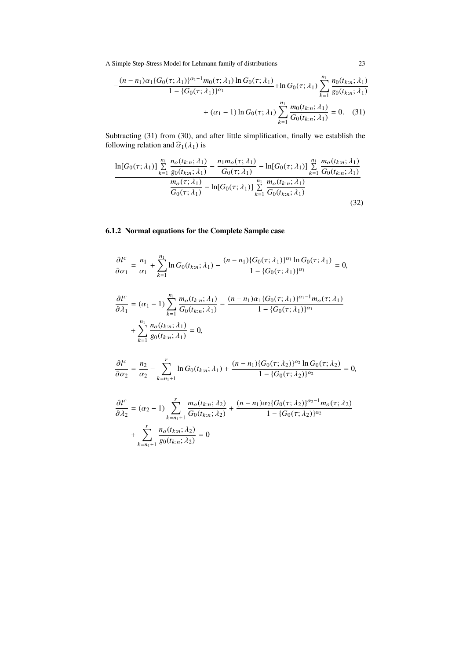$$
-\frac{(n-n_1)\alpha_1\{G_0(\tau;\lambda_1)\}^{\alpha_1-1}m_0(\tau;\lambda_1)\ln G_0(\tau;\lambda_1)}{1-\{G_0(\tau;\lambda_1)\}^{\alpha_1}} + \ln G_0(\tau;\lambda_1)\sum_{k=1}^{n_1}\frac{n_0(t_{k:n};\lambda_1)}{g_0(t_{k:n};\lambda_1)} + (\alpha_1-1)\ln G_0(\tau;\lambda_1)\sum_{k=1}^{n_1}\frac{m_0(t_{k:n};\lambda_1)}{G_0(t_{k:n};\lambda_1)} = 0.
$$
 (31)

Subtracting (31) from (30), and after little simplification, finally we establish the following relation and  $\hat{\alpha}_1(\lambda_1)$  is

$$
\frac{\ln[G_0(\tau;\lambda_1)] \sum\limits_{k=1}^{n_1} \frac{n_o(t_{k:n};\lambda_1)}{g_0(t_{k:n};\lambda_1)} - \frac{n_1 m_o(\tau;\lambda_1)}{G_0(\tau;\lambda_1)} - \ln[G_0(\tau;\lambda_1)] \sum\limits_{k=1}^{n_1} \frac{m_o(t_{k:n};\lambda_1)}{G_0(t_{k:n};\lambda_1)} - \frac{m_o(\tau;\lambda_1)}{G_0(\tau;\lambda_1)} - \ln[G_0(\tau;\lambda_1)] \sum\limits_{k=1}^{n_1} \frac{m_o(t_{k:n};\lambda_1)}{G_0(t_{k:n};\lambda_1)} \tag{32}
$$

# **6.1.2 Normal equations for the Complete Sample case**

$$
\frac{\partial l^{c}}{\partial \alpha_{1}} = \frac{n_{1}}{\alpha_{1}} + \sum_{k=1}^{n_{1}} \ln G_{0}(t_{k:n}; \lambda_{1}) - \frac{(n-n_{1})\{G_{0}(\tau; \lambda_{1})\}^{\alpha_{1}} \ln G_{0}(\tau; \lambda_{1})}{1 - \{G_{0}(\tau; \lambda_{1})\}^{\alpha_{1}}} = 0,
$$
\n
$$
\frac{\partial l^{c}}{\partial \lambda_{1}} = (\alpha_{1} - 1) \sum_{k=1}^{n_{1}} \frac{m_{o}(t_{k:n}; \lambda_{1})}{G_{0}(t_{k:n}; \lambda_{1})} - \frac{(n-n_{1})\alpha_{1}\{G_{0}(\tau; \lambda_{1})\}^{\alpha_{1}-1}m_{o}(\tau; \lambda_{1})}{1 - \{G_{0}(\tau; \lambda_{1})\}^{\alpha_{1}}}
$$
\n
$$
+ \sum_{k=1}^{n_{1}} \frac{n_{o}(t_{k:n}; \lambda_{1})}{g_{0}(t_{k:n}; \lambda_{1})} = 0,
$$
\n
$$
\frac{\partial l^{c}}{\partial \alpha_{2}} = \frac{n_{2}}{\alpha_{2}} - \sum_{k=n_{1}+1}^{r} \ln G_{0}(t_{k:n}; \lambda_{1}) + \frac{(n-n_{1})\{G_{0}(\tau; \lambda_{2})\}^{\alpha_{2}} \ln G_{0}(\tau; \lambda_{2})}{1 - \{G_{0}(\tau; \lambda_{2})\}^{\alpha_{2}}} = 0,
$$
\n
$$
\frac{\partial l^{c}}{\partial \lambda_{2}} = (\alpha_{2} - 1) \sum_{k=n_{1}+1}^{r} \frac{m_{o}(t_{k:n}; \lambda_{2})}{G_{0}(t_{k:n}; \lambda_{2})} + \frac{(n-n_{1})\alpha_{2}\{G_{0}(\tau; \lambda_{2})\}^{\alpha_{2}-1}m_{o}(\tau; \lambda_{2})}{1 - \{G_{0}(\tau; \lambda_{2})\}^{\alpha_{2}}}
$$
\n
$$
+ \sum_{k=n_{1}+1}^{r} \frac{n_{o}(t_{k:n}; \lambda_{2})}{g_{0}(t_{k:n}; \lambda_{2})} = 0
$$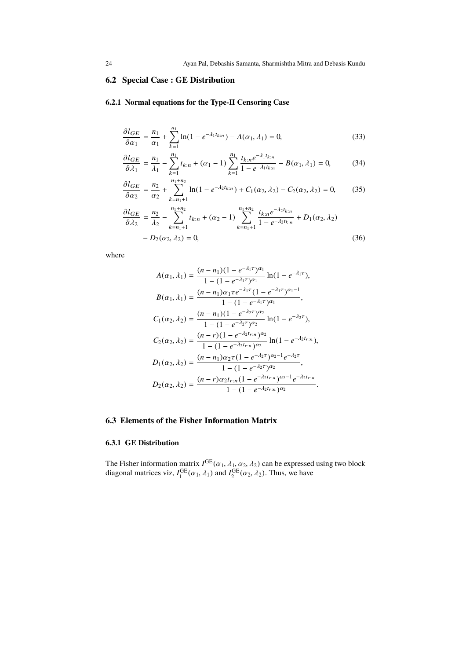# **6.2 Special Case : GE Distribution**

# **6.2.1 Normal equations for the Type-II Censoring Case**

$$
\frac{\partial l_{GE}}{\partial \alpha_1} = \frac{n_1}{\alpha_1} + \sum_{k=1}^{n_1} \ln(1 - e^{-\lambda_1 t_{k:n}}) - A(\alpha_1, \lambda_1) = 0,\tag{33}
$$

$$
\frac{\partial l_{GE}}{\partial \lambda_1} = \frac{n_1}{\lambda_1} - \sum_{k=1}^{n_1} t_{k:n} + (\alpha_1 - 1) \sum_{k=1}^{n_1} \frac{t_{k:n} e^{-\lambda_1 t_{k:n}}}{1 - e^{-\lambda_1 t_{k:n}}} - B(\alpha_1, \lambda_1) = 0,\tag{34}
$$

$$
\frac{\partial l_{GE}}{\partial \alpha_2} = \frac{n_2}{\alpha_2} + \sum_{k=n_1+1}^{n_1+n_2} \ln(1 - e^{-\lambda_2 t_{k:n}}) + C_1(\alpha_2, \lambda_2) - C_2(\alpha_2, \lambda_2) = 0,\tag{35}
$$

$$
\frac{\partial l_{GE}}{\partial \lambda_2} = \frac{n_2}{\lambda_2} - \sum_{k=n_1+1}^{n_1+n_2} t_{k:n} + (\alpha_2 - 1) \sum_{k=n_1+1}^{n_1+n_2} \frac{t_{k:n} e^{-\lambda_2 t_{k:n}}}{1 - e^{-\lambda_2 t_{k:n}}} + D_1(\alpha_2, \lambda_2) - D_2(\alpha_2, \lambda_2) = 0,
$$
\n(36)

where

$$
A(\alpha_1, \lambda_1) = \frac{(n - n_1)(1 - e^{-\lambda_1 \tau})^{\alpha_1}}{1 - (1 - e^{-\lambda_1 \tau})^{\alpha_1}} \ln(1 - e^{-\lambda_1 \tau}),
$$
  
\n
$$
B(\alpha_1, \lambda_1) = \frac{(n - n_1)\alpha_1 \tau e^{-\lambda_1 \tau} (1 - e^{-\lambda_1 \tau})^{\alpha_1 - 1}}{1 - (1 - e^{-\lambda_1 \tau})^{\alpha_1}},
$$
  
\n
$$
C_1(\alpha_2, \lambda_2) = \frac{(n - n_1)(1 - e^{-\lambda_2 \tau})^{\alpha_2}}{1 - (1 - e^{-\lambda_2 \tau})^{\alpha_2}} \ln(1 - e^{-\lambda_2 \tau}),
$$
  
\n
$$
C_2(\alpha_2, \lambda_2) = \frac{(n - r)(1 - e^{-\lambda_2 t_{r:n}})^{\alpha_2}}{1 - (1 - e^{-\lambda_2 t_{r:n}})^{\alpha_2}} \ln(1 - e^{-\lambda_2 t_{r:n}}),
$$
  
\n
$$
D_1(\alpha_2, \lambda_2) = \frac{(n - n_1)\alpha_2 \tau (1 - e^{-\lambda_2 \tau})^{\alpha_2 - 1} e^{-\lambda_2 \tau}}{1 - (1 - e^{-\lambda_2 \tau})^{\alpha_2}},
$$
  
\n
$$
D_2(\alpha_2, \lambda_2) = \frac{(n - r)\alpha_2 t_{r:n} (1 - e^{-\lambda_2 t_{r:n}})^{\alpha_2 - 1} e^{-\lambda_2 t_{r:n}}}{1 - (1 - e^{-\lambda_2 t_{r:n}})^{\alpha_2}}.
$$

# **6.3 Elements of the Fisher Information Matrix**

### **6.3.1 GE Distribution**

The Fisher information matrix  $I^{\text{GE}}(\alpha_1, \lambda_1, \alpha_2, \lambda_2)$  can be expressed using two block diagonal matrices viz,  $I_1^{\text{GE}}(\alpha_1, \lambda_1)$  and  $I_2^{\text{GE}}(\alpha_2, \lambda_2)$ . Thus, we have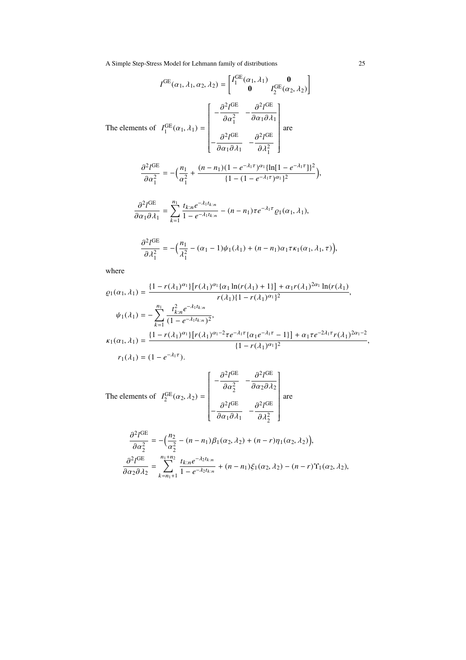$$
I^{GE}(\alpha_1, \lambda_1, \alpha_2, \lambda_2) = \begin{bmatrix} I_1^{GE}(\alpha_1, \lambda_1) & \mathbf{0} \\ \mathbf{0} & I_2^{GE}(\alpha_2, \lambda_2) \end{bmatrix}
$$
  
The elements of  $I_1^{GE}(\alpha_1, \lambda_1) = \begin{bmatrix} -\frac{\partial^2 I^{GE}}{\partial \alpha_1^2} & -\frac{\partial^2 I^{GE}}{\partial \alpha_1 \partial \lambda_1} \\ -\frac{\partial^2 I^{GE}}{\partial \alpha_1 \partial \lambda_1} & -\frac{\partial^2 I^{GE}}{\partial \lambda_1^2} \end{bmatrix}$  are  

$$
\frac{\partial^2 I^{GE}}{\partial \alpha_1^2} = -\left(\frac{n_1}{\alpha_1^2} + \frac{(n - n_1)(1 - e^{-\lambda_1 \tau})^{\alpha_1} \{\ln[1 - e^{-\lambda_1 \tau}]\}^2}{\{1 - (1 - e^{-\lambda_1 \tau})^{\alpha_1}\}^2},
$$

$$
\frac{\partial^2 I^{GE}}{\partial \alpha_1 \partial \lambda_1} = \sum_{k=1}^{n_1} \frac{t_{k:n} e^{-\lambda_1 t_{k:n}}}{1 - e^{-\lambda_1 t_{k:n}}} - (n - n_1) \tau e^{-\lambda_1 \tau} \varrho_1(\alpha_1, \lambda_1),
$$

$$
\frac{\partial^2 I^{GE}}{\partial \lambda_1^2} = -\left(\frac{n_1}{\lambda_1^2} - (\alpha_1 - 1)\psi_1(\lambda_1) + (n - n_1)\alpha_1 \tau \kappa_1(\alpha_1, \lambda_1, \tau)\right),
$$

where

$$
\varrho_1(\alpha_1, \lambda_1) = \frac{\{1 - r(\lambda_1)^{\alpha_1}\}[r(\lambda_1)^{\alpha_1}\{\alpha_1\ln(r(\lambda_1) + 1\}] + \alpha_1 r(\lambda_1)^{2\alpha_1}\ln(r(\lambda_1))}{r(\lambda_1)\{1 - r(\lambda_1)^{\alpha_1}\}^2},
$$
\n
$$
\psi_1(\lambda_1) = -\sum_{k=1}^{n_1} \frac{t_{k:n}^2 e^{-\lambda_1 t_{k:n}}}{(1 - e^{-\lambda_1 t_{k:n}})^2},
$$
\n
$$
\kappa_1(\alpha_1, \lambda_1) = \frac{\{1 - r(\lambda_1)^{\alpha_1}\}[r(\lambda_1)^{\alpha_1 - 2}\tau e^{-\lambda_1 \tau}\{\alpha_1 e^{-\lambda_1 \tau} - 1\}] + \alpha_1 \tau e^{-2\lambda_1 \tau} r(\lambda_1)^{2\alpha_1 - 2}}{(1 - r(\lambda_1)^{\alpha_1})^2},
$$
\n
$$
r_1(\lambda_1) = (1 - e^{-\lambda_1 \tau}).
$$

The elements of  $I_2^{\text{GE}}(\alpha_2, \lambda_2)$  = −  $\partial^2 l^{\text{GE}}$  $\overline{\partial \alpha_2^2}$  - $\partial^2 l^{\text{GE}}$ ∂α2∂λ<sup>2</sup> −  $\partial^2 l^{\text{GE}}$  $\overline{\partial \alpha_1 \partial \lambda_1}$  –  $\partial^2 l^{\text{GE}}$  $\partial\lambda_2^2$  are

$$
\frac{\partial^2 l^{GE}}{\partial \alpha_2^2} = -\left(\frac{n_2}{\alpha_2^2} - (n - n_1)\beta_1(\alpha_2, \lambda_2) + (n - r)\eta_1(\alpha_2, \lambda_2)\right),
$$
  

$$
\frac{\partial^2 l^{GE}}{\partial \alpha_2 \partial \lambda_2} = \sum_{k=n_1+1}^{n_1+n_2} \frac{t_{k:n}e^{-\lambda_2 t_{k:n}}}{1 - e^{-\lambda_2 t_{k:n}}} + (n - n_1)\xi_1(\alpha_2, \lambda_2) - (n - r)\Upsilon_1(\alpha_2, \lambda_2),
$$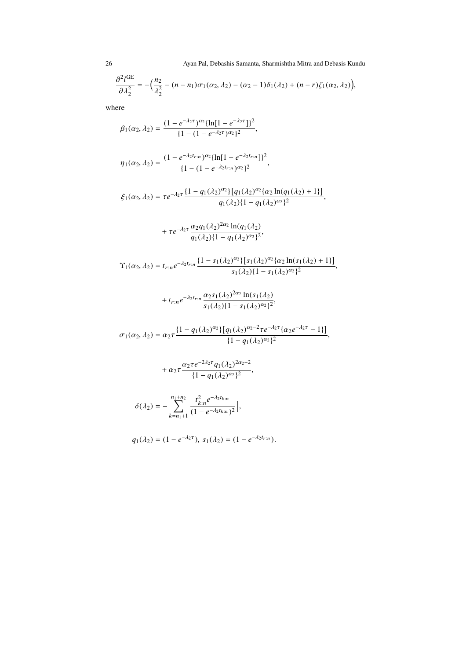26 Ayan Pal, Debashis Samanta, Sharmishtha Mitra and Debasis Kundu

$$
\frac{\partial^2 I^{GE}}{\partial \lambda_2^2} = -\Big(\frac{n_2}{\lambda_2^2} - (n - n_1)\sigma_1(\alpha_2, \lambda_2) - (\alpha_2 - 1)\delta_1(\lambda_2) + (n - r)\zeta_1(\alpha_2, \lambda_2)\Big),
$$

where

$$
\beta_1(\alpha_2, \lambda_2) = \frac{(1 - e^{-\lambda_2 \tau})^{\alpha_2} \{\ln[1 - e^{-\lambda_2 \tau}]\}^2}{\{1 - (1 - e^{-\lambda_2 \tau})^{\alpha_2}\}^2},
$$

$$
\eta_1(\alpha_2, \lambda_2) = \frac{(1 - e^{-\lambda_2 t_{r:n}})^{\alpha_2} \{\ln[1 - e^{-\lambda_2 t_{r:n}}]\}^2}{\{1 - (1 - e^{-\lambda_2 t_{r:n}})^{\alpha_2}\}^2},
$$

$$
\xi_1(\alpha_2,\lambda_2)=\tau e^{-\lambda_2\tau}\frac{\{1-q_1(\lambda_2)^{\alpha_2}\}[q_1(\lambda_2)^{\alpha_2}\{\alpha_2\ln(q_1(\lambda_2)+1\}]}{q_1(\lambda_2)\{1-q_1(\lambda_2)^{\alpha_2}\}^2},
$$

+ 
$$
\tau e^{-\lambda_2 \tau} \frac{\alpha_2 q_1(\lambda_2)^{2\alpha_2} \ln(q_1(\lambda_2))}{q_1(\lambda_2)(1-q_1(\lambda_2)^{\alpha_2})^2}
$$
,

$$
\Upsilon_1(\alpha_2, \lambda_2) = t_{r:n} e^{-\lambda_2 t_{r:n}} \frac{\{1 - s_1(\lambda_2)^{\alpha_2}\} \left[s_1(\lambda_2)^{\alpha_2} \{\alpha_2 \ln(s_1(\lambda_2) + 1\}\right]}{s_1(\lambda_2)\{1 - s_1(\lambda_2)^{\alpha_2}\}^2},
$$

+
$$
t_{r:n}e^{-\lambda_2 t_{r:n}} \frac{\alpha_2 s_1(\lambda_2)^{2\alpha_2} \ln(s_1(\lambda_2))}{s_1(\lambda_2)\{1 - s_1(\lambda_2)^{\alpha_2}\}^2}
$$

$$
\sigma_1(\alpha_2,\lambda_2)=\alpha_2\tau\frac{\{1-q_1(\lambda_2)^{\alpha_2}\}\big[q_1(\lambda_2)^{\alpha_2-2}\tau e^{-\lambda_2\tau}\{\alpha_2e^{-\lambda_2\tau}-1\}\big]}{\{1-q_1(\lambda_2)^{\alpha_2}\}^2},
$$

$$
+\alpha_2\tau\frac{\alpha_2\tau e^{-2\lambda_2\tau}q_1(\lambda_2)^{2\alpha_2-2}}{\{1-q_1(\lambda_2)^{\alpha_2}\}^2},
$$

$$
\delta(\lambda_2) = -\sum_{k=n_1+1}^{n_1+n_2} \frac{t_{k:n}^2 e^{-\lambda_2 t_{k:n}}}{(1 - e^{-\lambda_2 t_{k:n}})^2},
$$

$$
q_1(\lambda_2) = (1 - e^{-\lambda_2 \tau}), \ s_1(\lambda_2) = (1 - e^{-\lambda_2 t_{r:n}}).
$$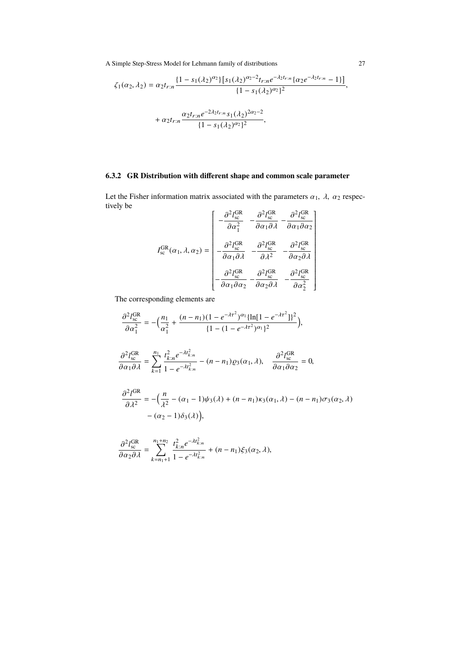$$
\zeta_1(\alpha_2, \lambda_2) = \alpha_2 t_{r:n} \frac{\{1 - s_1(\lambda_2)^{\alpha_2}\} \left[s_1(\lambda_2)^{\alpha_2 - 2} t_{r:n} e^{-\lambda_2 t_{r:n}} \left\{\alpha_2 e^{-\lambda_2 t_{r:n}} - 1\right\}\right]}{\{1 - s_1(\lambda_2)^{\alpha_2}\}^2},
$$

$$
+ \alpha_2 t_{r:n} \frac{\alpha_2 t_{r:n}}{\{1 - s_1(\lambda_2)^{\alpha_2}\}^2},
$$

# **6.3.2 GR Distribution with different shape and common scale parameter**

Let the Fisher information matrix associated with the parameters  $\alpha_1$ ,  $\lambda$ ,  $\alpha_2$  respectively be

$$
I_{\rm sc}^{\rm GR}(\alpha_1, \lambda, \alpha_2) = \begin{bmatrix} -\frac{\partial^2 l_{\rm sc}^{\rm GR}}{\partial \alpha_1^2} & -\frac{\partial^2 l_{\rm sc}^{\rm GR}}{\partial \alpha_1 \partial \lambda} & -\frac{\partial^2 l_{\rm sc}^{\rm GR}}{\partial \alpha_1 \partial \alpha_2} \\ -\frac{\partial^2 l_{\rm sc}^{\rm GR}}{\partial \alpha_1 \partial \lambda} & -\frac{\partial^2 l_{\rm sc}^{\rm GR}}{\partial \lambda^2} & -\frac{\partial^2 l_{\rm sc}^{\rm GR}}{\partial \alpha_2 \partial \lambda} \\ -\frac{\partial^2 l_{\rm sc}^{\rm GR}}{\partial \alpha_1 \partial \alpha_2} & -\frac{\partial^2 l_{\rm sc}^{\rm GR}}{\partial \alpha_2 \partial \lambda} & -\frac{\partial^2 l_{\rm sc}^{\rm GR}}{\partial \alpha_2^2} \end{bmatrix}
$$

The corresponding elements are

$$
\frac{\partial^2 l_{\rm sc}^{\rm GR}}{\partial \alpha_1^2} = -\left(\frac{n_1}{\alpha_1^2} + \frac{(n - n_1)(1 - e^{-\lambda \tau^2})^{\alpha_1} \{\ln[1 - e^{-\lambda \tau^2}]\}^2}{\{1 - (1 - e^{-\lambda \tau^2})^{\alpha_1}\}^2}\right),
$$
  

$$
\frac{\partial^2 l_{\rm sc}^{\rm GR}}{\partial \alpha_1 \partial \lambda} = \sum_{k=1}^{n_1} \frac{t_{k:n}^2 e^{-\lambda t_{k:n}^2}}{1 - e^{-\lambda t_{k:n}^2}} - (n - n_1) \varrho_3(\alpha_1, \lambda), \quad \frac{\partial^2 l_{\rm sc}^{\rm GR}}{\partial \alpha_1 \partial \alpha_2} = 0,
$$
  

$$
\frac{\partial^2 l_{\rm SR}}{\partial \lambda^2} = -\left(\frac{n}{\lambda^2} - (\alpha_1 - 1)\psi_3(\lambda) + (n - n_1)\kappa_3(\alpha_1, \lambda) - (n - n_1)\sigma_3(\alpha_2, \lambda) - (\alpha_2 - 1)\delta_3(\lambda)\right),
$$

$$
\frac{\partial^2 I_{\rm sc}^{\rm GR}}{\partial \alpha_2 \partial \lambda} = \sum_{k=n_1+1}^{n_1+n_2} \frac{t_{k:n}^2 e^{-\lambda t_{k:n}^2}}{1 - e^{-\lambda t_{k:n}^2}} + (n - n_1) \xi_3(\alpha_2, \lambda),
$$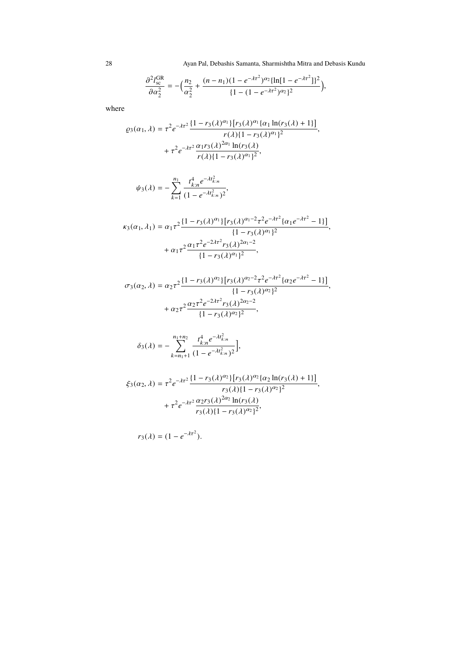28 Ayan Pal, Debashis Samanta, Sharmishtha Mitra and Debasis Kundu

$$
\frac{\partial^2 I_{\text{sc}}^{\text{GR}}}{\partial \alpha_2^2} = -\left(\frac{n_2}{\alpha_2^2} + \frac{(n - n_1)(1 - e^{-\lambda \tau^2})^{\alpha_2} \{\ln[1 - e^{-\lambda \tau^2}]\}^2}{\{1 - (1 - e^{-\lambda \tau^2})^{\alpha_2}\}^2}\right),
$$

where

$$
\varrho_3(\alpha_1, \lambda) = \tau^2 e^{-\lambda \tau^2} \frac{\{1 - r_3(\lambda)^{\alpha_1}\} [r_3(\lambda)^{\alpha_1} {\{\alpha_1 \ln(r_3(\lambda) + 1\}}]}{r(\lambda) \{1 - r_3(\lambda)^{\alpha_1}\}^2} + \tau^2 e^{-\lambda \tau^2} \frac{\alpha_1 r_3(\lambda)^{2\alpha_1} \ln(r_3(\lambda))}{r(\lambda) \{1 - r_3(\lambda)^{\alpha_1}\}^2},
$$

$$
\psi_3(\lambda) = -\sum_{k=1}^{n_1} \frac{t_{k:n}^4 e^{-\lambda t_{k:n}^2}}{(1 - e^{-\lambda t_{k:n}^2})^2},
$$

$$
\kappa_3(\alpha_1, \lambda_1) = \alpha_1 \tau^2 \frac{\{1 - r_3(\lambda)^{\alpha_1}\} [r_3(\lambda)^{\alpha_1 - 2} \tau^2 e^{-\lambda \tau^2} \{ \alpha_1 e^{-\lambda \tau^2} - 1 \}]}{\{1 - r_3(\lambda)^{\alpha_1}\}^2} + \alpha_1 \tau^2 \frac{\alpha_1 \tau^2 e^{-2\lambda \tau^2} r_3(\lambda)^{2\alpha_1 - 2}}{\{1 - r_3(\lambda)^{\alpha_1}\}^2},
$$

$$
\sigma_3(\alpha_2, \lambda) = \alpha_2 \tau^2 \frac{\{1 - r_3(\lambda)^{\alpha_2}\} [r_3(\lambda)^{\alpha_2 - 2} \tau^2 e^{-\lambda \tau^2} (\alpha_2 e^{-\lambda \tau^2} - 1)]}{\{1 - r_3(\lambda)^{\alpha_2}\}^2} + \alpha_2 \tau^2 \frac{\alpha_2 \tau^2 e^{-2\lambda \tau^2} r_3(\lambda)^{2\alpha_2 - 2}}{\{1 - r_3(\lambda)^{\alpha_2}\}^2},
$$

$$
\delta_3(\lambda) = -\sum_{k=n_1+1}^{n_1+n_2} \frac{t_{k:n}^4 e^{-\lambda t_{k:n}^2}}{(1 - e^{-\lambda t_{k:n}^2})^2},
$$

$$
\xi_3(\alpha_2, \lambda) = \tau^2 e^{-\lambda \tau^2} \frac{\{1 - r_3(\lambda)^{\alpha_2}\} [r_3(\lambda)^{\alpha_2} \{\alpha_2 \ln(r_3(\lambda) + 1\}]}{r_3(\lambda) \{1 - r_3(\lambda)^{\alpha_2}\}^2} + \tau^2 e^{-\lambda \tau^2} \frac{\alpha_2 r_3(\lambda)^{2\alpha_2} \ln(r_3(\lambda))}{r_3(\lambda) \{1 - r_3(\lambda)^{\alpha_2}\}^2},
$$

$$
r_3(\lambda)=(1-e^{-\lambda\tau^2}).
$$